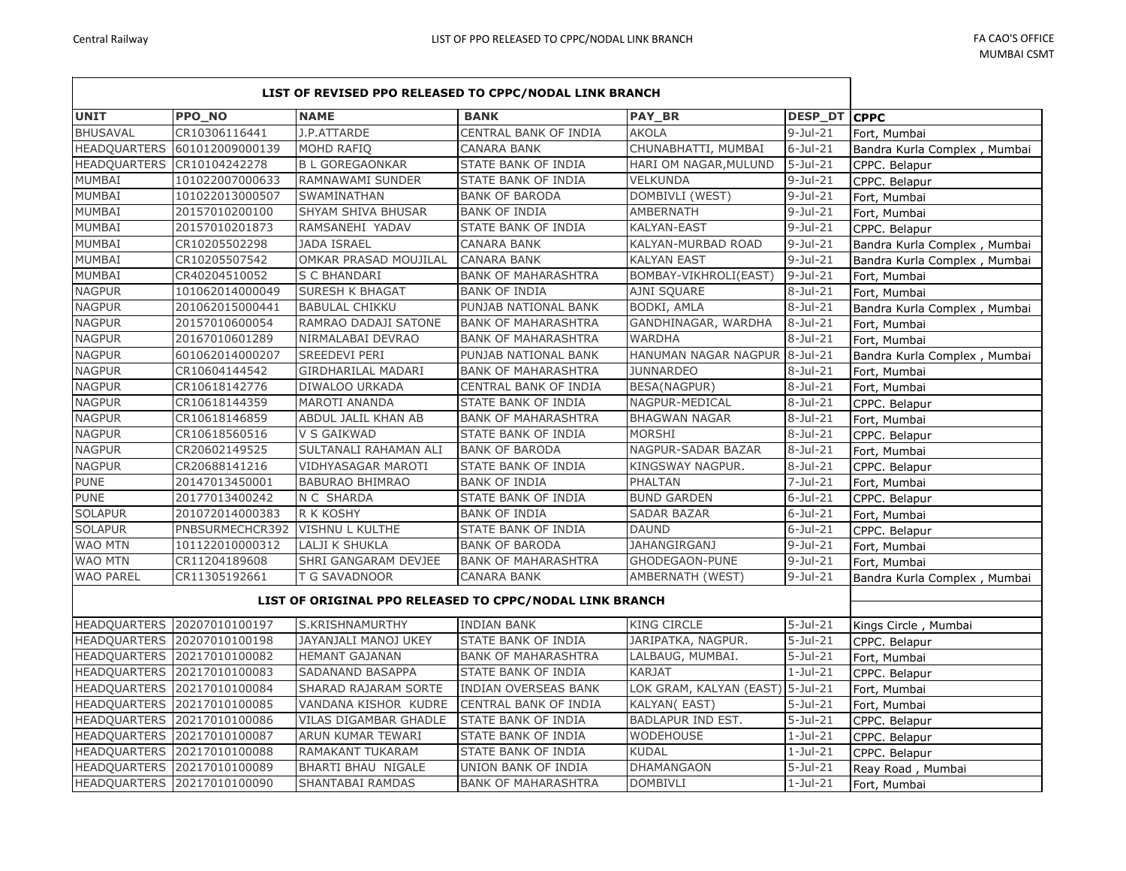|                     | LIST OF REVISED PPO RELEASED TO CPPC/NODAL LINK BRANCH |                                                         |                            |                                  |                 |                              |  |
|---------------------|--------------------------------------------------------|---------------------------------------------------------|----------------------------|----------------------------------|-----------------|------------------------------|--|
| <b>UNIT</b>         | PPO_NO                                                 | <b>NAME</b>                                             | <b>BANK</b>                | <b>PAY_BR</b>                    | DESP_DT CPPC    |                              |  |
| <b>BHUSAVAL</b>     | CR10306116441                                          | J.P.ATTARDE                                             | CENTRAL BANK OF INDIA      | <b>AKOLA</b>                     | $9$ -Jul-21     | Fort, Mumbai                 |  |
| <b>HEADQUARTERS</b> | 601012009000139                                        | MOHD RAFIO                                              | CANARA BANK                | CHUNABHATTI, MUMBAI              | $6$ -Jul-21     | Bandra Kurla Complex, Mumbai |  |
| <b>HEADQUARTERS</b> | CR10104242278                                          | <b>B L GOREGAONKAR</b>                                  | STATE BANK OF INDIA        | HARI OM NAGAR, MULUND            | $5 -$ Jul $-21$ | CPPC. Belapur                |  |
| MUMBAI              | 101022007000633                                        | RAMNAWAMI SUNDER                                        | STATE BANK OF INDIA        | <b>VELKUNDA</b>                  | $9$ -Jul-21     | CPPC. Belapur                |  |
| MUMBAI              | 101022013000507                                        | SWAMINATHAN                                             | <b>BANK OF BARODA</b>      | DOMBIVLI (WEST)                  | $9-Jul-21$      | Fort, Mumbai                 |  |
| MUMBAI              | 20157010200100                                         | SHYAM SHIVA BHUSAR                                      | <b>BANK OF INDIA</b>       | <b>AMBERNATH</b>                 | $9$ -Jul-21     | Fort, Mumbai                 |  |
| MUMBAI              | 20157010201873                                         | RAMSANEHI YADAV                                         | STATE BANK OF INDIA        | <b>KALYAN-EAST</b>               | $9$ -Jul-21     | CPPC. Belapur                |  |
| MUMBAI              | CR10205502298                                          | <b>JADA ISRAEL</b>                                      | <b>CANARA BANK</b>         | KALYAN-MURBAD ROAD               | $9$ -Jul-21     | Bandra Kurla Complex, Mumbai |  |
| MUMBAI              | CR10205507542                                          | OMKAR PRASAD MOUJILAL                                   | <b>CANARA BANK</b>         | <b>KALYAN EAST</b>               | $9-Jul-21$      | Bandra Kurla Complex, Mumbai |  |
| MUMBAI              | CR40204510052                                          | S C BHANDARI                                            | <b>BANK OF MAHARASHTRA</b> | BOMBAY-VIKHROLI(EAST)            | $9-Jul-21$      | Fort, Mumbai                 |  |
| <b>NAGPUR</b>       | 101062014000049                                        | <b>SURESH K BHAGAT</b>                                  | <b>BANK OF INDIA</b>       | <b>AJNI SQUARE</b>               | $8-Jul-21$      | Fort, Mumbai                 |  |
| <b>NAGPUR</b>       | 201062015000441                                        | <b>BABULAL CHIKKU</b>                                   | PUNJAB NATIONAL BANK       | BODKI, AMLA                      | $8-Jul-21$      | Bandra Kurla Complex, Mumbai |  |
| <b>NAGPUR</b>       | 20157010600054                                         | RAMRAO DADAJI SATONE                                    | <b>BANK OF MAHARASHTRA</b> | GANDHINAGAR, WARDHA              | $8-Jul-21$      | Fort, Mumbai                 |  |
| <b>NAGPUR</b>       | 20167010601289                                         | NIRMALABAI DEVRAO                                       | <b>BANK OF MAHARASHTRA</b> | <b>WARDHA</b>                    | $8-Jul-21$      | Fort, Mumbai                 |  |
| <b>NAGPUR</b>       | 601062014000207                                        | <b>SREEDEVI PERI</b>                                    | PUNJAB NATIONAL BANK       | HANUMAN NAGAR NAGPUR             | $8$ -Jul-21     | Bandra Kurla Complex, Mumbai |  |
| <b>NAGPUR</b>       | CR10604144542                                          | <b>GIRDHARILAL MADARI</b>                               | <b>BANK OF MAHARASHTRA</b> | <b>JUNNARDEO</b>                 | $8-Jul-21$      | Fort, Mumbai                 |  |
| <b>NAGPUR</b>       | CR10618142776                                          | DIWALOO URKADA                                          | CENTRAL BANK OF INDIA      | <b>BESA(NAGPUR)</b>              | $8-Jul-21$      | Fort, Mumbai                 |  |
| <b>NAGPUR</b>       | CR10618144359                                          | <b>MAROTI ANANDA</b>                                    | STATE BANK OF INDIA        | NAGPUR-MEDICAL                   | $8$ -Jul-21     | CPPC. Belapur                |  |
| <b>NAGPUR</b>       | CR10618146859                                          | ABDUL JALIL KHAN AB                                     | <b>BANK OF MAHARASHTRA</b> | <b>BHAGWAN NAGAR</b>             | $8-Jul-21$      | Fort, Mumbai                 |  |
| <b>NAGPUR</b>       | CR10618560516                                          | V S GAIKWAD                                             | STATE BANK OF INDIA        | MORSHI                           | $8-Jul-21$      | CPPC. Belapur                |  |
| <b>NAGPUR</b>       | CR20602149525                                          | SULTANALI RAHAMAN ALI                                   | <b>BANK OF BARODA</b>      | NAGPUR-SADAR BAZAR               | $8-Jul-21$      | Fort, Mumbai                 |  |
| <b>NAGPUR</b>       | CR20688141216                                          | VIDHYASAGAR MAROTI                                      | STATE BANK OF INDIA        | KINGSWAY NAGPUR.                 | $8-Jul-21$      | CPPC. Belapur                |  |
| <b>PUNE</b>         | 20147013450001                                         | <b>BABURAO BHIMRAO</b>                                  | <b>BANK OF INDIA</b>       | <b>PHALTAN</b>                   | $7 -$ Jul $-21$ | Fort, Mumbai                 |  |
| <b>PUNE</b>         | 20177013400242                                         | N C SHARDA                                              | STATE BANK OF INDIA        | <b>BUND GARDEN</b>               | $6$ -Jul-21     | CPPC. Belapur                |  |
| <b>SOLAPUR</b>      | 201072014000383                                        | R K KOSHY                                               | <b>BANK OF INDIA</b>       | <b>SADAR BAZAR</b>               | $6$ -Jul-21     | Fort, Mumbai                 |  |
| <b>SOLAPUR</b>      | PNBSURMECHCR392                                        | <b>VISHNU L KULTHE</b>                                  | STATE BANK OF INDIA        | <b>DAUND</b>                     | $6$ -Jul-21     | CPPC. Belapur                |  |
| <b>WAO MTN</b>      | 101122010000312                                        | LALJI K SHUKLA                                          | <b>BANK OF BARODA</b>      | <b>JAHANGIRGANJ</b>              | $9-Jul-21$      | Fort, Mumbai                 |  |
| <b>WAO MTN</b>      | CR11204189608                                          | SHRI GANGARAM DEVJEE                                    | <b>BANK OF MAHARASHTRA</b> | GHODEGAON-PUNE                   | $9$ -Jul-21     | Fort, Mumbai                 |  |
| <b>WAO PAREL</b>    | CR11305192661                                          | T G SAVADNOOR                                           | <b>CANARA BANK</b>         | AMBERNATH (WEST)                 | $9-Jul-21$      | Bandra Kurla Complex, Mumbai |  |
|                     |                                                        | LIST OF ORIGINAL PPO RELEASED TO CPPC/NODAL LINK BRANCH |                            |                                  |                 |                              |  |
|                     | HEADQUARTERS 20207010100197                            | S.KRISHNAMURTHY                                         | <b>INDIAN BANK</b>         | <b>KING CIRCLE</b>               | $5 -$ Jul $-21$ | Kings Circle, Mumbai         |  |
|                     | HEADQUARTERS 20207010100198                            | JAYANJALI MANOJ UKEY                                    | STATE BANK OF INDIA        | JARIPATKA, NAGPUR.               | $5 -$ Jul $-21$ | CPPC. Belapur                |  |
|                     | HEADQUARTERS 20217010100082                            | <b>HEMANT GAJANAN</b>                                   | <b>BANK OF MAHARASHTRA</b> | LALBAUG, MUMBAI.                 | $5 -$ Jul $-21$ | Fort, Mumbai                 |  |
|                     | HEADQUARTERS 20217010100083                            | SADANAND BASAPPA                                        | STATE BANK OF INDIA        | <b>KARJAT</b>                    | $1-Jul-21$      | CPPC. Belapur                |  |
|                     | HEADQUARTERS 20217010100084                            | SHARAD RAJARAM SORTE                                    | INDIAN OVERSEAS BANK       | LOK GRAM, KALYAN (EAST) 5-Jul-21 |                 | Fort, Mumbai                 |  |
|                     | HEADQUARTERS 20217010100085                            | VANDANA KISHOR KUDRE                                    | CENTRAL BANK OF INDIA      | KALYAN(EAST)                     | $5$ -Jul-21     | Fort, Mumbai                 |  |
|                     | HEADQUARTERS 20217010100086                            | VILAS DIGAMBAR GHADLE                                   | STATE BANK OF INDIA        | BADLAPUR IND EST.                | $5 -$ Jul $-21$ | CPPC. Belapur                |  |
|                     | HEADQUARTERS 20217010100087                            | ARUN KUMAR TEWARI                                       | STATE BANK OF INDIA        | <b>WODEHOUSE</b>                 | $1-Jul-21$      | CPPC. Belapur                |  |
|                     | HEADQUARTERS 20217010100088                            | RAMAKANT TUKARAM                                        | STATE BANK OF INDIA        | <b>KUDAL</b>                     | $1-Jul-21$      | CPPC. Belapur                |  |
|                     | HEADQUARTERS 20217010100089                            | BHARTI BHAU NIGALE                                      | UNION BANK OF INDIA        | <b>DHAMANGAON</b>                | $5 -$ Jul $-21$ | Reay Road, Mumbai            |  |
|                     | HEADQUARTERS 20217010100090                            | SHANTABAI RAMDAS                                        | <b>BANK OF MAHARASHTRA</b> | <b>DOMBIVLI</b>                  | $1-Jul-21$      | Fort, Mumbai                 |  |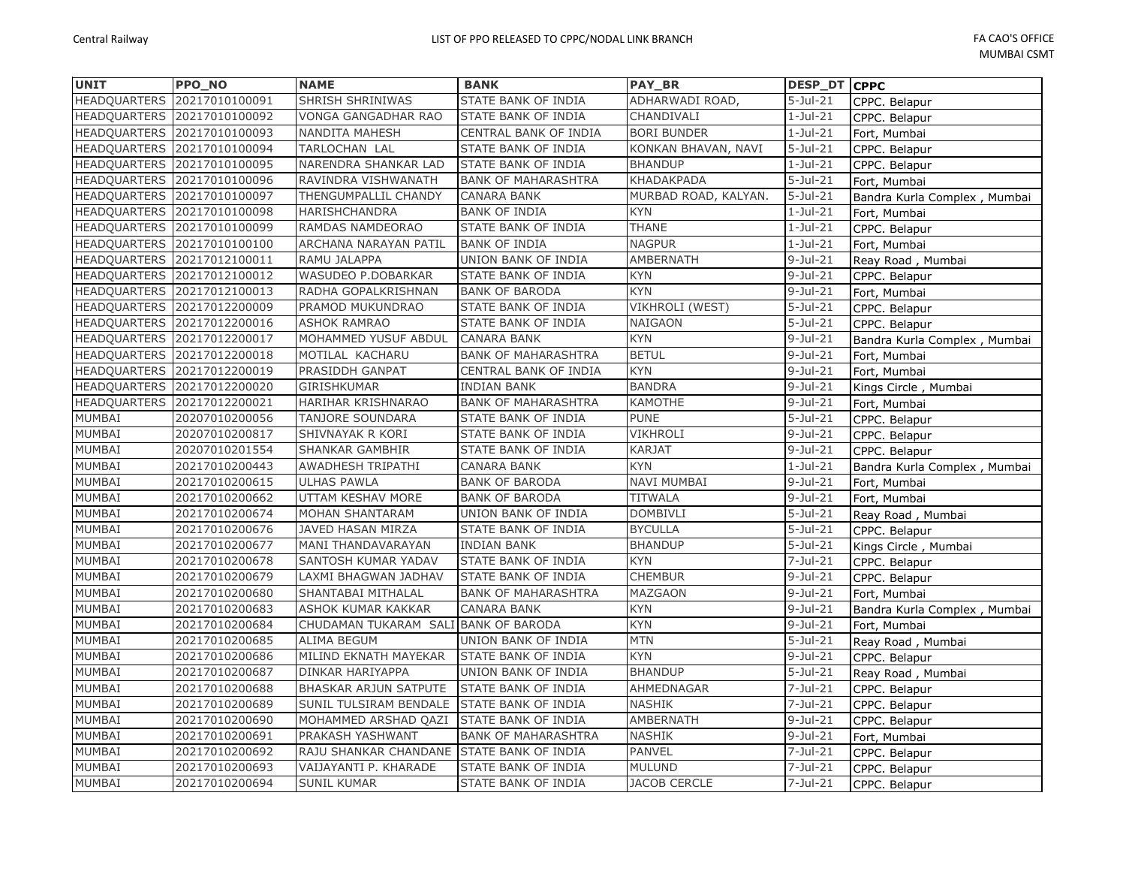| <b>UNIT</b>         | <b>PPO NO</b>               | <b>NAME</b>                          | <b>BANK</b>                | <b>PAY BR</b>        | DESP DT CPPC           |                              |
|---------------------|-----------------------------|--------------------------------------|----------------------------|----------------------|------------------------|------------------------------|
| <b>HEADQUARTERS</b> | 20217010100091              | SHRISH SHRINIWAS                     | STATE BANK OF INDIA        | ADHARWADI ROAD,      | $\overline{5}$ -Jul-21 | CPPC. Belapur                |
|                     | HEADQUARTERS 20217010100092 | VONGA GANGADHAR RAO                  | STATE BANK OF INDIA        | CHANDIVALI           | $1-Jul-21$             | CPPC. Belapur                |
|                     | HEADQUARTERS 20217010100093 | <b>NANDITA MAHESH</b>                | CENTRAL BANK OF INDIA      | <b>BORI BUNDER</b>   | $1-Jul-21$             | Fort, Mumbai                 |
|                     | HEADQUARTERS 20217010100094 | TARLOCHAN LAL                        | STATE BANK OF INDIA        | KONKAN BHAVAN, NAVI  | $5-Jul-21$             | CPPC. Belapur                |
|                     | HEADQUARTERS 20217010100095 | NARENDRA SHANKAR LAD                 | STATE BANK OF INDIA        | <b>BHANDUP</b>       | $1-Jul-21$             | CPPC. Belapur                |
|                     | HEADQUARTERS 20217010100096 | RAVINDRA VISHWANATH                  | <b>BANK OF MAHARASHTRA</b> | KHADAKPADA           | $5-Jul-21$             | Fort, Mumbai                 |
|                     | HEADQUARTERS 20217010100097 | THENGUMPALLIL CHANDY                 | CANARA BANK                | MURBAD ROAD, KALYAN. | $5-Jul-21$             | Bandra Kurla Complex, Mumbai |
|                     | HEADQUARTERS 20217010100098 | HARISHCHANDRA                        | <b>BANK OF INDIA</b>       | <b>KYN</b>           | $1-Jul-21$             | Fort, Mumbai                 |
|                     | HEADQUARTERS 20217010100099 | RAMDAS NAMDEORAO                     | STATE BANK OF INDIA        | <b>THANE</b>         | $1-Jul-21$             | CPPC. Belapur                |
|                     | HEADQUARTERS 20217010100100 | ARCHANA NARAYAN PATIL                | <b>BANK OF INDIA</b>       | <b>NAGPUR</b>        | $1-Jul-21$             | Fort, Mumbai                 |
|                     | HEADQUARTERS 20217012100011 | RAMU JALAPPA                         | UNION BANK OF INDIA        | AMBERNATH            | $9-Jul-21$             | Reay Road, Mumbai            |
|                     | HEADQUARTERS 20217012100012 | WASUDEO P.DOBARKAR                   | STATE BANK OF INDIA        | <b>KYN</b>           | $9-Jul-21$             | CPPC. Belapur                |
|                     | HEADQUARTERS 20217012100013 | RADHA GOPALKRISHNAN                  | <b>BANK OF BARODA</b>      | <b>KYN</b>           | $9$ -Jul-21            | Fort, Mumbai                 |
|                     | HEADQUARTERS 20217012200009 | PRAMOD MUKUNDRAO                     | STATE BANK OF INDIA        | VIKHROLI (WEST)      | $5 -$ Jul $-21$        | CPPC. Belapur                |
|                     | HEADQUARTERS 20217012200016 | <b>ASHOK RAMRAO</b>                  | STATE BANK OF INDIA        | NAIGAON              | $5-Jul-21$             | CPPC. Belapur                |
|                     | HEADQUARTERS 20217012200017 | MOHAMMED YUSUF ABDUL                 | <b>CANARA BANK</b>         | <b>KYN</b>           | $9-Jul-21$             | Bandra Kurla Complex, Mumbai |
|                     | HEADQUARTERS 20217012200018 | MOTILAL KACHARU                      | <b>BANK OF MAHARASHTRA</b> | <b>BETUL</b>         | $9-Jul-21$             | Fort, Mumbai                 |
|                     | HEADQUARTERS 20217012200019 | PRASIDDH GANPAT                      | CENTRAL BANK OF INDIA      | <b>KYN</b>           | $9-Jul-21$             | Fort, Mumbai                 |
|                     | HEADQUARTERS 20217012200020 | GIRISHKUMAR                          | <b>INDIAN BANK</b>         | <b>BANDRA</b>        | $9$ -Jul-21            | Kings Circle, Mumbai         |
| <b>HEADQUARTERS</b> | 20217012200021              | HARIHAR KRISHNARAO                   | <b>BANK OF MAHARASHTRA</b> | KAMOTHE              | $9$ -Jul-21            | Fort, Mumbai                 |
| MUMBAI              | 20207010200056              | TANJORE SOUNDARA                     | STATE BANK OF INDIA        | <b>PUNE</b>          | $5 -$ Jul $-21$        | CPPC. Belapur                |
| <b>MUMBAI</b>       | 20207010200817              | SHIVNAYAK R KORI                     | STATE BANK OF INDIA        | <b>VIKHROLI</b>      | $9-Jul-21$             | CPPC. Belapur                |
| MUMBAI              | 20207010201554              | <b>SHANKAR GAMBHIR</b>               | STATE BANK OF INDIA        | <b>KARJAT</b>        | $9 -$ Jul $-21$        | CPPC. Belapur                |
| MUMBAI              | 20217010200443              | AWADHESH TRIPATHI                    | CANARA BANK                | <b>KYN</b>           | $1-Jul-21$             | Bandra Kurla Complex, Mumbai |
| <b>MUMBAI</b>       | 20217010200615              | <b>ULHAS PAWLA</b>                   | <b>BANK OF BARODA</b>      | <b>NAVI MUMBAI</b>   | $9-Jul-21$             | Fort, Mumbai                 |
| MUMBAI              | 20217010200662              | UTTAM KESHAV MORE                    | <b>BANK OF BARODA</b>      | <b>TITWALA</b>       | $9$ -Jul-21            | Fort, Mumbai                 |
| MUMBAI              | 20217010200674              | MOHAN SHANTARAM                      | UNION BANK OF INDIA        | <b>DOMBIVLI</b>      | $\overline{5}$ -Jul-21 | Reay Road, Mumbai            |
| <b>MUMBAI</b>       | 20217010200676              | JAVED HASAN MIRZA                    | STATE BANK OF INDIA        | <b>BYCULLA</b>       | $5$ -Jul-21            | CPPC. Belapur                |
| MUMBAI              | 20217010200677              | MANI THANDAVARAYAN                   | <b>INDIAN BANK</b>         | <b>BHANDUP</b>       | $5 -$ Jul $-21$        | Kings Circle, Mumbai         |
| MUMBAI              | 20217010200678              | SANTOSH KUMAR YADAV                  | STATE BANK OF INDIA        | <b>KYN</b>           | $\overline{7}$ -Jul-21 | CPPC. Belapur                |
| MUMBAI              | 20217010200679              | LAXMI BHAGWAN JADHAV                 | STATE BANK OF INDIA        | <b>CHEMBUR</b>       | $9-Jul-21$             | CPPC. Belapur                |
| MUMBAI              | 20217010200680              | SHANTABAI MITHALAL                   | <b>BANK OF MAHARASHTRA</b> | MAZGAON              | $9$ -Jul-21            | Fort, Mumbai                 |
| MUMBAI              | 20217010200683              | ASHOK KUMAR KAKKAR                   | CANARA BANK                | <b>KYN</b>           | $9-Jul-21$             | Bandra Kurla Complex, Mumbai |
| MUMBAI              | 20217010200684              | CHUDAMAN TUKARAM SALI BANK OF BARODA |                            | <b>KYN</b>           | $9-Jul-21$             | Fort, Mumbai                 |
| MUMBAI              | 20217010200685              | <b>ALIMA BEGUM</b>                   | UNION BANK OF INDIA        | <b>MTN</b>           | $5-Jul-21$             | Reay Road, Mumbai            |
| MUMBAI              | 20217010200686              | MILIND EKNATH MAYEKAR                | STATE BANK OF INDIA        | <b>KYN</b>           | $9$ -Jul-21            | CPPC. Belapur                |
| MUMBAI              | 20217010200687              | DINKAR HARIYAPPA                     | UNION BANK OF INDIA        | <b>BHANDUP</b>       | $5-Jul-21$             | Reay Road, Mumbai            |
| MUMBAI              | 20217010200688              | <b>BHASKAR ARJUN SATPUTE</b>         | STATE BANK OF INDIA        | AHMEDNAGAR           | $7 -$ Jul $-21$        | CPPC. Belapur                |
| MUMBAI              | 20217010200689              | SUNIL TULSIRAM BENDALE               | <b>STATE BANK OF INDIA</b> | <b>NASHIK</b>        | $7 -$ Jul $-21$        | CPPC. Belapur                |
| MUMBAI              | 20217010200690              | MOHAMMED ARSHAD QAZI                 | STATE BANK OF INDIA        | AMBERNATH            | $9$ -Jul-21            | CPPC. Belapur                |
| <b>MUMBAI</b>       | 20217010200691              | PRAKASH YASHWANT                     | <b>BANK OF MAHARASHTRA</b> | <b>NASHIK</b>        | $9-Jul-21$             | Fort, Mumbai                 |
| MUMBAI              | 20217010200692              | RAJU SHANKAR CHANDANE                | STATE BANK OF INDIA        | <b>PANVEL</b>        | $7 -$ Jul $-21$        | CPPC. Belapur                |
| MUMBAI              | 20217010200693              | VAIJAYANTI P. KHARADE                | STATE BANK OF INDIA        | <b>MULUND</b>        | $7 -$ Jul $-21$        | CPPC. Belapur                |
| <b>MUMBAI</b>       | 20217010200694              | <b>SUNIL KUMAR</b>                   | STATE BANK OF INDIA        | <b>JACOB CERCLE</b>  | $7 -$ Jul $-21$        | CPPC. Belapur                |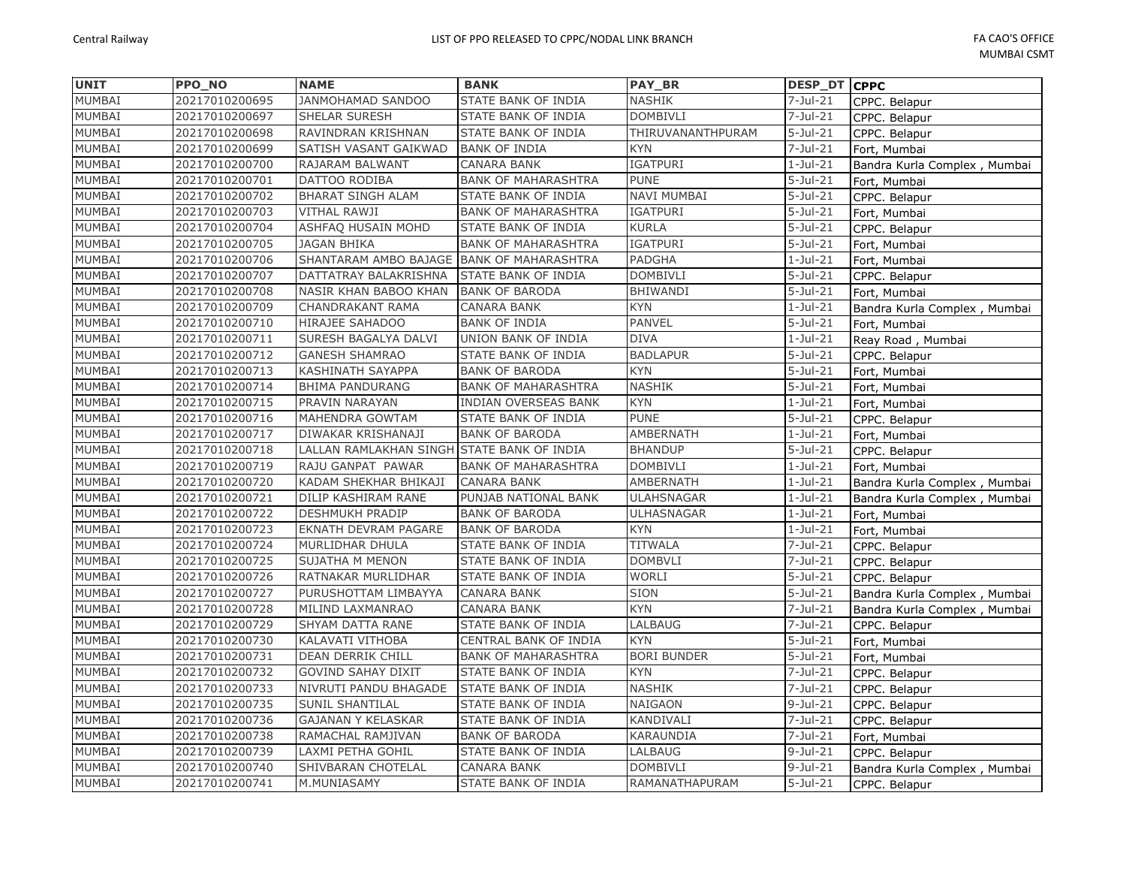| <b>UNIT</b>   | PPO NO         | <b>NAME</b>                                | <b>BANK</b>                 | PAY_BR             | <b>DESP_DT CPPC</b> |                              |
|---------------|----------------|--------------------------------------------|-----------------------------|--------------------|---------------------|------------------------------|
| MUMBAI        | 20217010200695 | JANMOHAMAD SANDOO                          | STATE BANK OF INDIA         | <b>NASHIK</b>      | $7 -$ Jul $-21$     | CPPC. Belapur                |
| MUMBAI        | 20217010200697 | <b>SHELAR SURESH</b>                       | STATE BANK OF INDIA         | <b>DOMBIVLI</b>    | $7 -$ Jul $-21$     | CPPC. Belapur                |
| MUMBAI        | 20217010200698 | RAVINDRAN KRISHNAN                         | STATE BANK OF INDIA         | THIRUVANANTHPURAM  | $5 -$ Jul $-21$     | CPPC. Belapur                |
| MUMBAI        | 20217010200699 | SATISH VASANT GAIKWAD                      | <b>BANK OF INDIA</b>        | KYN                | $7 -$ Jul $-21$     | Fort, Mumbai                 |
| MUMBAI        | 20217010200700 | RAJARAM BALWANT                            | <b>CANARA BANK</b>          | IGATPURI           | $1-Jul-21$          | Bandra Kurla Complex, Mumbai |
| MUMBAI        | 20217010200701 | DATTOO RODIBA                              | <b>BANK OF MAHARASHTRA</b>  | PUNE               | $5 -$ Jul $-21$     | Fort, Mumbai                 |
| MUMBAI        | 20217010200702 | BHARAT SINGH ALAM                          | STATE BANK OF INDIA         | NAVI MUMBAI        | $5-Jul-21$          | CPPC. Belapur                |
| <b>MUMBAI</b> | 20217010200703 | <b>VITHAL RAWJI</b>                        | <b>BANK OF MAHARASHTRA</b>  | IGATPURI           | $5$ -Jul-21         | Fort, Mumbai                 |
| MUMBAI        | 20217010200704 | ASHFAQ HUSAIN MOHD                         | STATE BANK OF INDIA         | <b>KURLA</b>       | $5 -$ Jul $-21$     | CPPC. Belapur                |
| MUMBAI        | 20217010200705 | <b>JAGAN BHIKA</b>                         | <b>BANK OF MAHARASHTRA</b>  | <b>IGATPURI</b>    | $5-Jul-21$          | Fort, Mumbai                 |
| MUMBAI        | 20217010200706 | SHANTARAM AMBO BAJAGE BANK OF MAHARASHTRA  |                             | PADGHA             | $1-Jul-21$          | Fort, Mumbai                 |
| MUMBAI        | 20217010200707 | DATTATRAY BALAKRISHNA                      | STATE BANK OF INDIA         | <b>DOMBIVLI</b>    | $5 -$ Jul $-21$     | CPPC. Belapur                |
| MUMBAI        | 20217010200708 | NASIR KHAN BABOO KHAN                      | <b>BANK OF BARODA</b>       | <b>BHIWANDI</b>    | $5-Jul-21$          | Fort, Mumbai                 |
| MUMBAI        | 20217010200709 | CHANDRAKANT RAMA                           | CANARA BANK                 | <b>KYN</b>         | $1-Jul-21$          | Bandra Kurla Complex, Mumbai |
| MUMBAI        | 20217010200710 | HIRAJEE SAHADOO                            | <b>BANK OF INDIA</b>        | <b>PANVEL</b>      | $5 -$ Jul $-21$     | Fort, Mumbai                 |
| MUMBAI        | 20217010200711 | SURESH BAGALYA DALVI                       | UNION BANK OF INDIA         | <b>DIVA</b>        | $1-Jul-21$          | Reay Road, Mumbai            |
| MUMBAI        | 20217010200712 | <b>GANESH SHAMRAO</b>                      | STATE BANK OF INDIA         | <b>BADLAPUR</b>    | $5 -$ Jul $-21$     | CPPC. Belapur                |
| <b>MUMBAI</b> | 20217010200713 | KASHINATH SAYAPPA                          | <b>BANK OF BARODA</b>       | <b>KYN</b>         | $5-Jul-21$          | Fort, Mumbai                 |
| MUMBAI        | 20217010200714 | <b>BHIMA PANDURANG</b>                     | <b>BANK OF MAHARASHTRA</b>  | <b>NASHIK</b>      | $5 -$ Jul $-21$     | Fort, Mumbai                 |
| MUMBAI        | 20217010200715 | PRAVIN NARAYAN                             | <b>INDIAN OVERSEAS BANK</b> | <b>KYN</b>         | $1-Jul-21$          | Fort, Mumbai                 |
| MUMBAI        | 20217010200716 | <b>MAHENDRA GOWTAM</b>                     | STATE BANK OF INDIA         | <b>PUNE</b>        | $5-Jul-21$          | CPPC. Belapur                |
| MUMBAI        | 20217010200717 | DIWAKAR KRISHANAJI                         | <b>BANK OF BARODA</b>       | AMBERNATH          | $1-Jul-21$          | Fort, Mumbai                 |
| MUMBAI        | 20217010200718 | LALLAN RAMLAKHAN SINGH STATE BANK OF INDIA |                             | <b>BHANDUP</b>     | $5$ -Jul-21         | CPPC. Belapur                |
| MUMBAI        | 20217010200719 | RAJU GANPAT PAWAR                          | <b>BANK OF MAHARASHTRA</b>  | <b>DOMBIVLI</b>    | $1-Jul-21$          | Fort, Mumbai                 |
| MUMBAI        | 20217010200720 | KADAM SHEKHAR BHIKAJI                      | <b>CANARA BANK</b>          | AMBERNATH          | $1-Jul-21$          | Bandra Kurla Complex, Mumbai |
| MUMBAI        | 20217010200721 | DILIP KASHIRAM RANE                        | PUNJAB NATIONAL BANK        | <b>ULAHSNAGAR</b>  | $1-Jul-21$          | Bandra Kurla Complex, Mumbai |
| MUMBAI        | 20217010200722 | <b>DESHMUKH PRADIP</b>                     | <b>BANK OF BARODA</b>       | ULHASNAGAR         | $1-Jul-21$          | Fort, Mumbai                 |
| <b>MUMBAI</b> | 20217010200723 | EKNATH DEVRAM PAGARE                       | <b>BANK OF BARODA</b>       | <b>KYN</b>         | $1-Jul-21$          | Fort, Mumbai                 |
| MUMBAI        | 20217010200724 | MURLIDHAR DHULA                            | STATE BANK OF INDIA         | <b>TITWALA</b>     | $7 -$ Jul $-21$     | CPPC. Belapur                |
| MUMBAI        | 20217010200725 | SUJATHA M MENON                            | STATE BANK OF INDIA         | <b>DOMBVLI</b>     | $7 -$ Jul $-21$     | CPPC. Belapur                |
| MUMBAI        | 20217010200726 | RATNAKAR MURLIDHAR                         | STATE BANK OF INDIA         | <b>WORLI</b>       | $5-Jul-21$          | CPPC. Belapur                |
| MUMBAI        | 20217010200727 | PURUSHOTTAM LIMBAYYA                       | <b>CANARA BANK</b>          | SION               | $5-Jul-21$          | Bandra Kurla Complex, Mumbai |
| MUMBAI        | 20217010200728 | MILIND LAXMANRAO                           | CANARA BANK                 | <b>KYN</b>         | $7 -$ Jul $-21$     | Bandra Kurla Complex, Mumbai |
| MUMBAI        | 20217010200729 | SHYAM DATTA RANE                           | STATE BANK OF INDIA         | LALBAUG            | $7 -$ Jul $-21$     | CPPC. Belapur                |
| MUMBAI        | 20217010200730 | KALAVATI VITHOBA                           | CENTRAL BANK OF INDIA       | <b>KYN</b>         | $5-Jul-21$          | Fort, Mumbai                 |
| MUMBAI        | 20217010200731 | DEAN DERRIK CHILL                          | <b>BANK OF MAHARASHTRA</b>  | <b>BORI BUNDER</b> | $5 -$ Jul $-21$     | Fort, Mumbai                 |
| MUMBAI        | 20217010200732 | <b>GOVIND SAHAY DIXIT</b>                  | STATE BANK OF INDIA         | <b>KYN</b>         | $7 -$ Jul $-21$     | CPPC. Belapur                |
| MUMBAI        | 20217010200733 | NIVRUTI PANDU BHAGADE                      | STATE BANK OF INDIA         | <b>NASHIK</b>      | $7 -$ Jul $-21$     | CPPC. Belapur                |
| MUMBAI        | 20217010200735 | <b>SUNIL SHANTILAL</b>                     | STATE BANK OF INDIA         | NAIGAON            | $9-Jul-21$          | CPPC. Belapur                |
| <b>MUMBAI</b> | 20217010200736 | <b>GAJANAN Y KELASKAR</b>                  | STATE BANK OF INDIA         | KANDIVALI          | $7 -$ Jul $-21$     | CPPC. Belapur                |
| MUMBAI        | 20217010200738 | RAMACHAL RAMJIVAN                          | <b>BANK OF BARODA</b>       | KARAUNDIA          | $7 -$ Jul $-21$     | Fort, Mumbai                 |
| MUMBAI        | 20217010200739 | LAXMI PETHA GOHIL                          | STATE BANK OF INDIA         | LALBAUG            | $9-Jul-21$          | CPPC. Belapur                |
| MUMBAI        | 20217010200740 | SHIVBARAN CHOTELAL                         | <b>CANARA BANK</b>          | <b>DOMBIVLI</b>    | $9-Jul-21$          | Bandra Kurla Complex, Mumbai |
| MUMBAI        | 20217010200741 | M.MUNIASAMY                                | STATE BANK OF INDIA         | RAMANATHAPURAM     | $5 -$ Jul $-21$     | CPPC. Belapur                |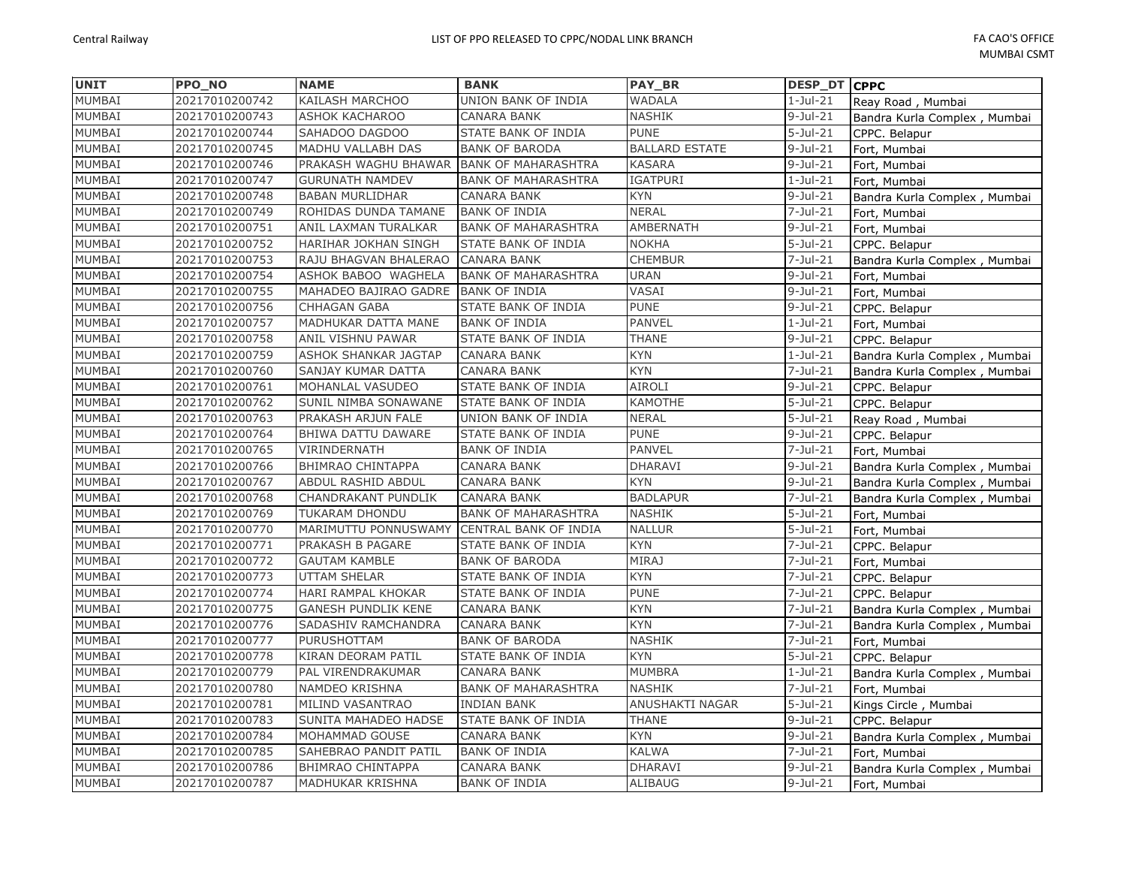| <b>UNIT</b>   | <b>PPO NO</b>  | <b>NAME</b>                | <b>BANK</b>                | <b>PAY BR</b>         | DESP_DT CPPC    |                              |
|---------------|----------------|----------------------------|----------------------------|-----------------------|-----------------|------------------------------|
| MUMBAI        | 20217010200742 | KAILASH MARCHOO            | UNION BANK OF INDIA        | WADALA                | $1-Jul-21$      | Reay Road, Mumbai            |
| MUMBAI        | 20217010200743 | <b>ASHOK KACHAROO</b>      | CANARA BANK                | <b>NASHIK</b>         | $9 -$ Jul $-21$ | Bandra Kurla Complex, Mumbai |
| MUMBAI        | 20217010200744 | SAHADOO DAGDOO             | STATE BANK OF INDIA        | <b>PUNE</b>           | $5 -$ Jul $-21$ | CPPC. Belapur                |
| MUMBAI        | 20217010200745 | MADHU VALLABH DAS          | <b>BANK OF BARODA</b>      | <b>BALLARD ESTATE</b> | $9$ -Jul-21     | Fort, Mumbai                 |
| <b>MUMBAI</b> | 20217010200746 | PRAKASH WAGHU BHAWAR       | <b>BANK OF MAHARASHTRA</b> | <b>KASARA</b>         | $9-Jul-21$      | Fort, Mumbai                 |
| MUMBAI        | 20217010200747 | <b>GURUNATH NAMDEV</b>     | <b>BANK OF MAHARASHTRA</b> | <b>IGATPURI</b>       | $1-Jul-21$      | Fort, Mumbai                 |
| MUMBAI        | 20217010200748 | <b>BABAN MURLIDHAR</b>     | CANARA BANK                | <b>KYN</b>            | $9-Jul-21$      | Bandra Kurla Complex, Mumbai |
| MUMBAI        | 20217010200749 | ROHIDAS DUNDA TAMANE       | <b>BANK OF INDIA</b>       | <b>NERAL</b>          | $7-Jul-21$      | Fort, Mumbai                 |
| MUMBAI        | 20217010200751 | ANIL LAXMAN TURALKAR       | <b>BANK OF MAHARASHTRA</b> | <b>AMBERNATH</b>      | $9$ -Jul-21     | Fort, Mumbai                 |
| MUMBAI        | 20217010200752 | HARIHAR JOKHAN SINGH       | STATE BANK OF INDIA        | <b>NOKHA</b>          | $5 -$ Jul $-21$ | CPPC. Belapur                |
| MUMBAI        | 20217010200753 | RAJU BHAGVAN BHALERAO      | <b>CANARA BANK</b>         | <b>CHEMBUR</b>        | $7 -$ Jul $-21$ | Bandra Kurla Complex, Mumbai |
| MUMBAI        | 20217010200754 | ASHOK BABOO WAGHELA        | <b>BANK OF MAHARASHTRA</b> | <b>URAN</b>           | $9$ -Jul-21     | Fort, Mumbai                 |
| MUMBAI        | 20217010200755 | MAHADEO BAJIRAO GADRE      | <b>BANK OF INDIA</b>       | VASAI                 | $9 -$ Jul $-21$ | Fort, Mumbai                 |
| MUMBAI        | 20217010200756 | <b>CHHAGAN GABA</b>        | STATE BANK OF INDIA        | <b>PUNE</b>           | $9 -$ Jul $-21$ | CPPC. Belapur                |
| MUMBAI        | 20217010200757 | MADHUKAR DATTA MANE        | <b>BANK OF INDIA</b>       | <b>PANVEL</b>         | $1-Jul-21$      | Fort, Mumbai                 |
| <b>MUMBAI</b> | 20217010200758 | ANIL VISHNU PAWAR          | STATE BANK OF INDIA        | <b>THANE</b>          | $9 -$ Jul $-21$ | CPPC. Belapur                |
| MUMBAI        | 20217010200759 | ASHOK SHANKAR JAGTAP       | CANARA BANK                | <b>KYN</b>            | $1-Jul-21$      | Bandra Kurla Complex, Mumbai |
| MUMBAI        | 20217010200760 | SANJAY KUMAR DATTA         | <b>CANARA BANK</b>         | <b>KYN</b>            | $7 -$ Jul $-21$ | Bandra Kurla Complex, Mumbai |
| MUMBAI        | 20217010200761 | MOHANLAL VASUDEO           | STATE BANK OF INDIA        | <b>AIROLI</b>         | $9 -$ Jul $-21$ | CPPC. Belapur                |
| MUMBAI        | 20217010200762 | SUNIL NIMBA SONAWANE       | STATE BANK OF INDIA        | KAMOTHE               | $5-Jul-21$      | CPPC. Belapur                |
| MUMBAI        | 20217010200763 | PRAKASH ARJUN FALE         | UNION BANK OF INDIA        | <b>NERAL</b>          | $5 -$ Jul $-21$ | Reay Road, Mumbai            |
| MUMBAI        | 20217010200764 | BHIWA DATTU DAWARE         | STATE BANK OF INDIA        | <b>PUNE</b>           | $9-Jul-21$      | CPPC. Belapur                |
| MUMBAI        | 20217010200765 | VIRINDERNATH               | <b>BANK OF INDIA</b>       | <b>PANVEL</b>         | 7-Jul-21        | Fort, Mumbai                 |
| MUMBAI        | 20217010200766 | <b>BHIMRAO CHINTAPPA</b>   | CANARA BANK                | <b>DHARAVI</b>        | $9$ -Jul-21     | Bandra Kurla Complex, Mumbai |
| MUMBAI        | 20217010200767 | ABDUL RASHID ABDUL         | CANARA BANK                | <b>KYN</b>            | $9 -$ Jul $-21$ | Bandra Kurla Complex, Mumbai |
| MUMBAI        | 20217010200768 | CHANDRAKANT PUNDLIK        | CANARA BANK                | <b>BADLAPUR</b>       | 7-Jul-21        | Bandra Kurla Complex, Mumbai |
| MUMBAI        | 20217010200769 | TUKARAM DHONDU             | <b>BANK OF MAHARASHTRA</b> | <b>NASHIK</b>         | $5-Jul-21$      | Fort, Mumbai                 |
| MUMBAI        | 20217010200770 | MARIMUTTU PONNUSWAMY       | CENTRAL BANK OF INDIA      | <b>NALLUR</b>         | $5 -$ Jul $-21$ | Fort, Mumbai                 |
| MUMBAI        | 20217010200771 | PRAKASH B PAGARE           | STATE BANK OF INDIA        | <b>KYN</b>            | 7-Jul-21        | CPPC. Belapur                |
| MUMBAI        | 20217010200772 | <b>GAUTAM KAMBLE</b>       | <b>BANK OF BARODA</b>      | <b>MIRAJ</b>          | 7-Jul-21        | Fort, Mumbai                 |
| MUMBAI        | 20217010200773 | <b>UTTAM SHELAR</b>        | STATE BANK OF INDIA        | <b>KYN</b>            | $7 -$ Jul $-21$ | CPPC. Belapur                |
| MUMBAI        | 20217010200774 | HARI RAMPAL KHOKAR         | STATE BANK OF INDIA        | <b>PUNE</b>           | 7-Jul-21        | CPPC. Belapur                |
| MUMBAI        | 20217010200775 | <b>GANESH PUNDLIK KENE</b> | CANARA BANK                | <b>KYN</b>            | 7-Jul-21        | Bandra Kurla Complex, Mumbai |
| MUMBAI        | 20217010200776 | SADASHIV RAMCHANDRA        | <b>CANARA BANK</b>         | <b>KYN</b>            | $7-Jul-21$      | Bandra Kurla Complex, Mumbai |
| MUMBAI        | 20217010200777 | PURUSHOTTAM                | <b>BANK OF BARODA</b>      | <b>NASHIK</b>         | $7 -$ Jul $-21$ | Fort, Mumbai                 |
| MUMBAI        | 20217010200778 | KIRAN DEORAM PATIL         | STATE BANK OF INDIA        | <b>KYN</b>            | $5 -$ Jul $-21$ | CPPC. Belapur                |
| MUMBAI        | 20217010200779 | PAL VIRENDRAKUMAR          | CANARA BANK                | <b>MUMBRA</b>         | $1-Jul-21$      | Bandra Kurla Complex, Mumbai |
| MUMBAI        | 20217010200780 | NAMDEO KRISHNA             | <b>BANK OF MAHARASHTRA</b> | <b>NASHIK</b>         | 7-Jul-21        | Fort, Mumbai                 |
| MUMBAI        | 20217010200781 | MILIND VASANTRAO           | <b>INDIAN BANK</b>         | ANUSHAKTI NAGAR       | $5-Jul-21$      | Kings Circle, Mumbai         |
| MUMBAI        | 20217010200783 | SUNITA MAHADEO HADSE       | STATE BANK OF INDIA        | <b>THANE</b>          | $9-Jul-21$      | CPPC. Belapur                |
| MUMBAI        | 20217010200784 | MOHAMMAD GOUSE             | <b>CANARA BANK</b>         | <b>KYN</b>            | $9$ -Jul-21     | Bandra Kurla Complex, Mumbai |
| MUMBAI        | 20217010200785 | SAHEBRAO PANDIT PATIL      | <b>BANK OF INDIA</b>       | <b>KALWA</b>          | $7 -$ Jul $-21$ | Fort, Mumbai                 |
| MUMBAI        | 20217010200786 | <b>BHIMRAO CHINTAPPA</b>   | CANARA BANK                | <b>DHARAVI</b>        | $9$ -Jul-21     | Bandra Kurla Complex, Mumbai |
| MUMBAI        | 20217010200787 | MADHUKAR KRISHNA           | <b>BANK OF INDIA</b>       | <b>ALIBAUG</b>        | $9$ -Jul-21     | Fort, Mumbai                 |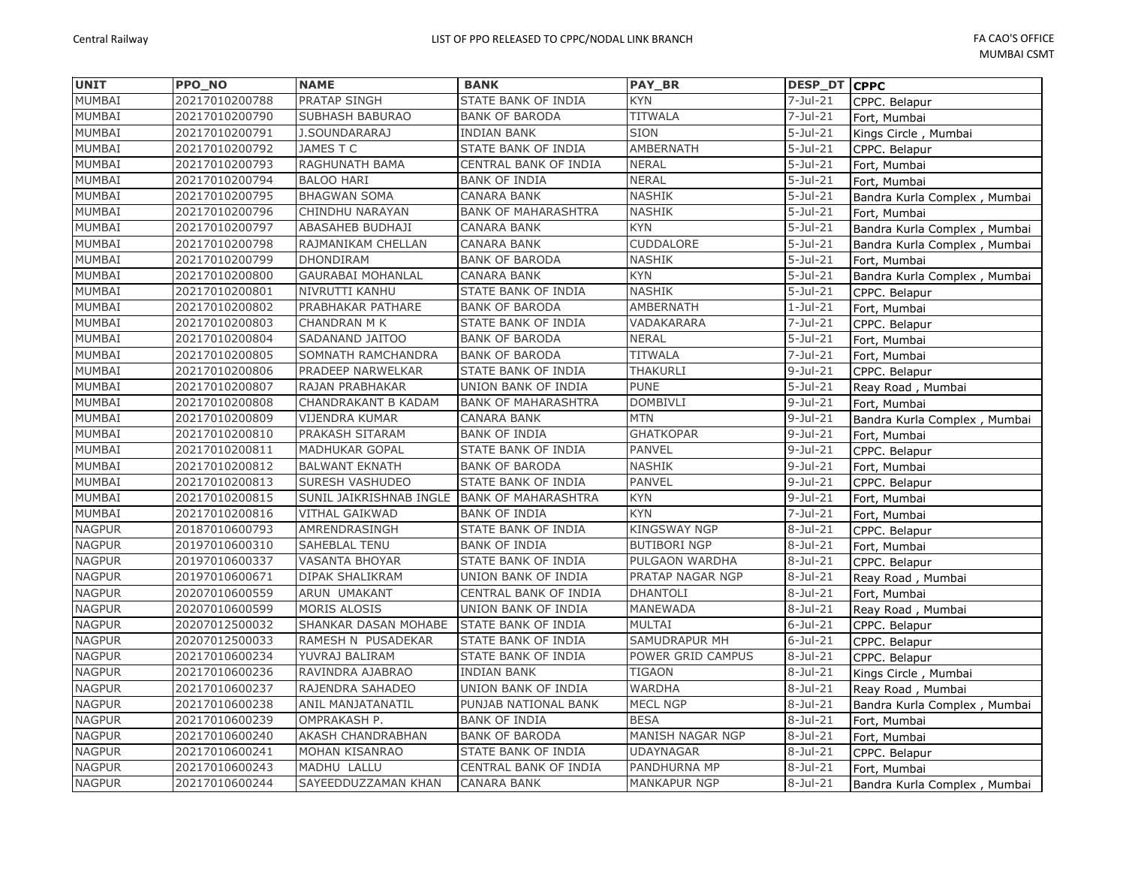| <b>UNIT</b>   | PPO_NO         | <b>NAME</b>              | <b>BANK</b>                | <b>PAY BR</b>       | <b>DESP_DT CPPC</b> |                              |
|---------------|----------------|--------------------------|----------------------------|---------------------|---------------------|------------------------------|
| MUMBAI        | 20217010200788 | PRATAP SINGH             | STATE BANK OF INDIA        | <b>KYN</b>          | $7 -$ Jul $-21$     | CPPC. Belapur                |
| MUMBAI        | 20217010200790 | <b>SUBHASH BABURAO</b>   | <b>BANK OF BARODA</b>      | <b>TITWALA</b>      | $7 -$ Jul $-21$     | Fort, Mumbai                 |
| MUMBAI        | 20217010200791 | <b>J.SOUNDARARAJ</b>     | <b>INDIAN BANK</b>         | <b>SION</b>         | $5 -$ Jul $-21$     | Kings Circle, Mumbai         |
| MUMBAI        | 20217010200792 | JAMES T C                | STATE BANK OF INDIA        | AMBERNATH           | $5 -$ Jul $-21$     | CPPC. Belapur                |
| MUMBAI        | 20217010200793 | RAGHUNATH BAMA           | CENTRAL BANK OF INDIA      | <b>NERAL</b>        | $5 -$ Jul $-21$     | Fort, Mumbai                 |
| MUMBAI        | 20217010200794 | <b>BALOO HARI</b>        | <b>BANK OF INDIA</b>       | <b>NERAL</b>        | $5 -$ Jul $-21$     | Fort, Mumbai                 |
| MUMBAI        | 20217010200795 | <b>BHAGWAN SOMA</b>      | CANARA BANK                | <b>NASHIK</b>       | $5 -$ Jul $-21$     | Bandra Kurla Complex, Mumbai |
| <b>MUMBAI</b> | 20217010200796 | CHINDHU NARAYAN          | <b>BANK OF MAHARASHTRA</b> | <b>NASHIK</b>       | $5 -$ Jul $-21$     | Fort, Mumbai                 |
| MUMBAI        | 20217010200797 | ABASAHEB BUDHAJI         | CANARA BANK                | <b>KYN</b>          | $5 -$ Jul $-21$     | Bandra Kurla Complex, Mumbai |
| MUMBAI        | 20217010200798 | RAJMANIKAM CHELLAN       | CANARA BANK                | CUDDALORE           | $5 -$ Jul $-21$     | Bandra Kurla Complex, Mumbai |
| MUMBAI        | 20217010200799 | <b>DHONDIRAM</b>         | <b>BANK OF BARODA</b>      | <b>NASHIK</b>       | $5-Jul-21$          | Fort, Mumbai                 |
| MUMBAI        | 20217010200800 | <b>GAURABAI MOHANLAL</b> | CANARA BANK                | <b>KYN</b>          | $5 -$ Jul $-21$     | Bandra Kurla Complex, Mumbai |
| MUMBAI        | 20217010200801 | NIVRUTTI KANHU           | STATE BANK OF INDIA        | <b>NASHIK</b>       | $5 -$ Jul $-21$     | CPPC. Belapur                |
| MUMBAI        | 20217010200802 | PRABHAKAR PATHARE        | <b>BANK OF BARODA</b>      | <b>AMBERNATH</b>    | $1-Jul-21$          | Fort, Mumbai                 |
| MUMBAI        | 20217010200803 | <b>CHANDRAN M K</b>      | STATE BANK OF INDIA        | VADAKARARA          | 7-Jul-21            | CPPC. Belapur                |
| MUMBAI        | 20217010200804 | SADANAND JAITOO          | <b>BANK OF BARODA</b>      | <b>NERAL</b>        | $5 -$ Jul $-21$     | Fort, Mumbai                 |
| MUMBAI        | 20217010200805 | SOMNATH RAMCHANDRA       | <b>BANK OF BARODA</b>      | <b>TITWALA</b>      | $7 -$ Jul $-21$     | Fort, Mumbai                 |
| MUMBAI        | 20217010200806 | PRADEEP NARWELKAR        | STATE BANK OF INDIA        | THAKURLI            | $9-Jul-21$          | CPPC. Belapur                |
| MUMBAI        | 20217010200807 | RAJAN PRABHAKAR          | UNION BANK OF INDIA        | <b>PUNE</b>         | $5-Jul-21$          | Reay Road, Mumbai            |
| MUMBAI        | 20217010200808 | CHANDRAKANT B KADAM      | <b>BANK OF MAHARASHTRA</b> | <b>DOMBIVLI</b>     | $9-Jul-21$          | Fort, Mumbai                 |
| MUMBAI        | 20217010200809 | VIJENDRA KUMAR           | CANARA BANK                | <b>MTN</b>          | $9-Jul-21$          | Bandra Kurla Complex, Mumbai |
| MUMBAI        | 20217010200810 | PRAKASH SITARAM          | <b>BANK OF INDIA</b>       | <b>GHATKOPAR</b>    | $9-Jul-21$          | Fort, Mumbai                 |
| MUMBAI        | 20217010200811 | <b>MADHUKAR GOPAL</b>    | STATE BANK OF INDIA        | <b>PANVEL</b>       | $9$ -Jul-21         | CPPC. Belapur                |
| MUMBAI        | 20217010200812 | <b>BALWANT EKNATH</b>    | <b>BANK OF BARODA</b>      | <b>NASHIK</b>       | $9-Jul-21$          | Fort, Mumbai                 |
| MUMBAI        | 20217010200813 | SURESH VASHUDEO          | STATE BANK OF INDIA        | <b>PANVEL</b>       | $9-Jul-21$          | CPPC. Belapur                |
| MUMBAI        | 20217010200815 | SUNIL JAIKRISHNAB INGLE  | <b>BANK OF MAHARASHTRA</b> | <b>KYN</b>          | $9-Jul-21$          | Fort, Mumbai                 |
| MUMBAI        | 20217010200816 | <b>VITHAL GAIKWAD</b>    | <b>BANK OF INDIA</b>       | <b>KYN</b>          | $7 -$ Jul $-21$     | Fort, Mumbai                 |
| <b>NAGPUR</b> | 20187010600793 | AMRENDRASINGH            | STATE BANK OF INDIA        | <b>KINGSWAY NGP</b> | $8-Jul-21$          | CPPC. Belapur                |
| <b>NAGPUR</b> | 20197010600310 | <b>SAHEBLAL TENU</b>     | <b>BANK OF INDIA</b>       | <b>BUTIBORI NGP</b> | $8-Jul-21$          | Fort, Mumbai                 |
| <b>NAGPUR</b> | 20197010600337 | <b>VASANTA BHOYAR</b>    | STATE BANK OF INDIA        | PULGAON WARDHA      | $8-Jul-21$          | CPPC. Belapur                |
| <b>NAGPUR</b> | 20197010600671 | <b>DIPAK SHALIKRAM</b>   | UNION BANK OF INDIA        | PRATAP NAGAR NGP    | $8-Jul-21$          | Reay Road, Mumbai            |
| <b>NAGPUR</b> | 20207010600559 | ARUN UMAKANT             | CENTRAL BANK OF INDIA      | <b>DHANTOLI</b>     | $8-Jul-21$          | Fort, Mumbai                 |
| <b>NAGPUR</b> | 20207010600599 | MORIS ALOSIS             | UNION BANK OF INDIA        | MANEWADA            | $8-Jul-21$          | Reay Road, Mumbai            |
| <b>NAGPUR</b> | 20207012500032 | SHANKAR DASAN MOHABE     | <b>STATE BANK OF INDIA</b> | MULTAI              | $6$ -Jul-21         | CPPC. Belapur                |
| <b>NAGPUR</b> | 20207012500033 | RAMESH N PUSADEKAR       | STATE BANK OF INDIA        | SAMUDRAPUR MH       | $6$ -Jul-21         | CPPC. Belapur                |
| <b>NAGPUR</b> | 20217010600234 | YUVRAJ BALIRAM           | STATE BANK OF INDIA        | POWER GRID CAMPUS   | $8-Jul-21$          | CPPC. Belapur                |
| <b>NAGPUR</b> | 20217010600236 | RAVINDRA AJABRAO         | <b>INDIAN BANK</b>         | <b>TIGAON</b>       | $8-Jul-21$          | Kings Circle, Mumbai         |
| <b>NAGPUR</b> | 20217010600237 | RAJENDRA SAHADEO         | UNION BANK OF INDIA        | <b>WARDHA</b>       | $8-Jul-21$          | Reay Road, Mumbai            |
| <b>NAGPUR</b> | 20217010600238 | ANIL MANJATANATIL        | PUNJAB NATIONAL BANK       | <b>MECL NGP</b>     | $8-Jul-21$          | Bandra Kurla Complex, Mumbai |
| <b>NAGPUR</b> | 20217010600239 | OMPRAKASH P.             | <b>BANK OF INDIA</b>       | <b>BESA</b>         | $8-Jul-21$          | Fort, Mumbai                 |
| <b>NAGPUR</b> | 20217010600240 | AKASH CHANDRABHAN        | <b>BANK OF BARODA</b>      | MANISH NAGAR NGP    | $8-Jul-21$          | Fort, Mumbai                 |
| <b>NAGPUR</b> | 20217010600241 | MOHAN KISANRAO           | STATE BANK OF INDIA        | <b>UDAYNAGAR</b>    | $8-Jul-21$          | CPPC. Belapur                |
| <b>NAGPUR</b> | 20217010600243 | MADHU LALLU              | CENTRAL BANK OF INDIA      | PANDHURNA MP        | $8-Jul-21$          | Fort, Mumbai                 |
| <b>NAGPUR</b> | 20217010600244 | SAYEEDDUZZAMAN KHAN      | <b>CANARA BANK</b>         | <b>MANKAPUR NGP</b> | $8-Jul-21$          | Bandra Kurla Complex, Mumbai |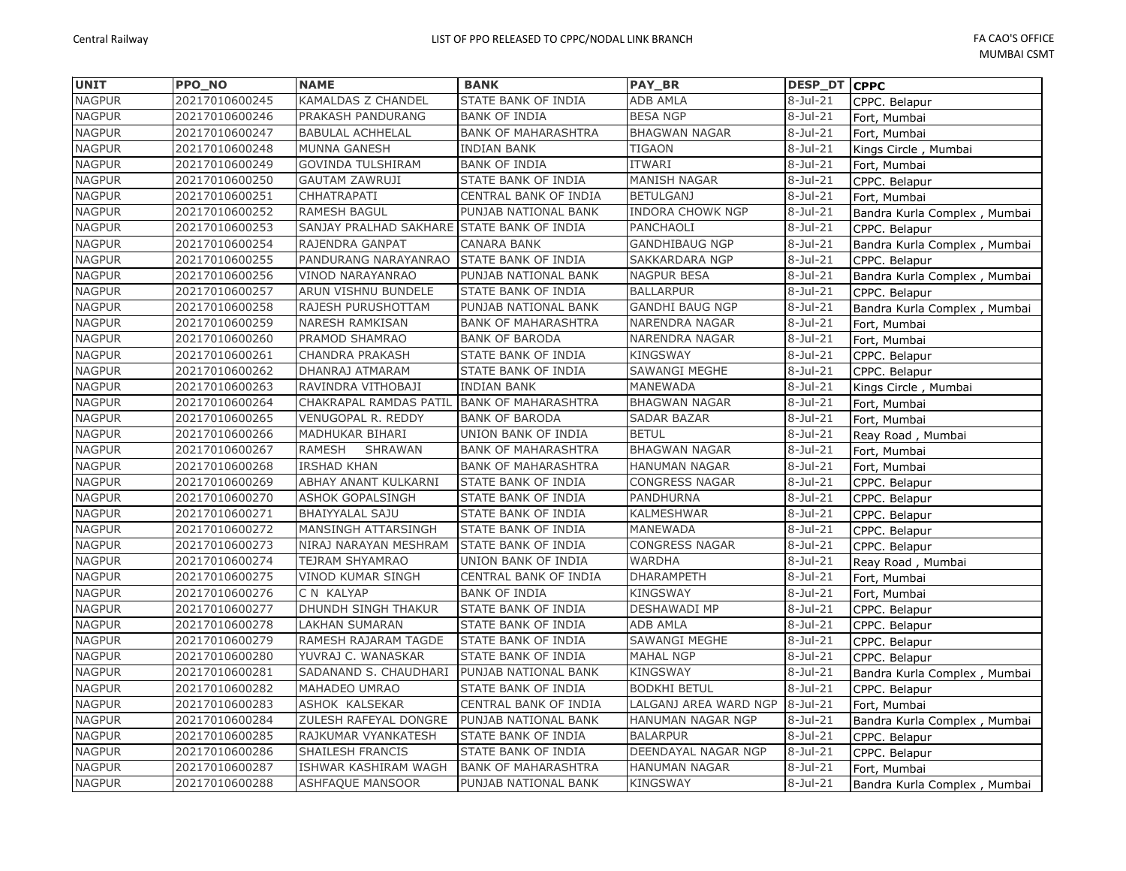| <b>UNIT</b>   | PPO NO         | <b>NAME</b>                                | <b>BANK</b>                | <b>PAY BR</b>          | <b>DESP DT CPPC</b> |                              |
|---------------|----------------|--------------------------------------------|----------------------------|------------------------|---------------------|------------------------------|
| <b>NAGPUR</b> | 20217010600245 | KAMALDAS Z CHANDEL                         | STATE BANK OF INDIA        | <b>ADB AMLA</b>        | $8-Jul-21$          | CPPC. Belapur                |
| <b>NAGPUR</b> | 20217010600246 | PRAKASH PANDURANG                          | <b>BANK OF INDIA</b>       | <b>BESA NGP</b>        | $8-Jul-21$          | Fort, Mumbai                 |
| <b>NAGPUR</b> | 20217010600247 | <b>BABULAL ACHHELAL</b>                    | <b>BANK OF MAHARASHTRA</b> | <b>BHAGWAN NAGAR</b>   | 8-Jul-21            | Fort, Mumbai                 |
| <b>NAGPUR</b> | 20217010600248 | <b>MUNNA GANESH</b>                        | <b>INDIAN BANK</b>         | <b>TIGAON</b>          | $8-Jul-21$          | Kings Circle, Mumbai         |
| <b>NAGPUR</b> | 20217010600249 | <b>GOVINDA TULSHIRAM</b>                   | <b>BANK OF INDIA</b>       | ITWARI                 | $8-Jul-21$          | Fort, Mumbai                 |
| <b>NAGPUR</b> | 20217010600250 | <b>GAUTAM ZAWRUJI</b>                      | STATE BANK OF INDIA        | <b>MANISH NAGAR</b>    | $8-Jul-21$          | CPPC. Belapur                |
| <b>NAGPUR</b> | 20217010600251 | CHHATRAPATI                                | CENTRAL BANK OF INDIA      | <b>BETULGANJ</b>       | 8-Jul-21            | Fort, Mumbai                 |
| <b>NAGPUR</b> | 20217010600252 | RAMESH BAGUL                               | PUNJAB NATIONAL BANK       | INDORA CHOWK NGP       | $8-Jul-21$          | Bandra Kurla Complex, Mumbai |
| <b>NAGPUR</b> | 20217010600253 | SANJAY PRALHAD SAKHARE STATE BANK OF INDIA |                            | PANCHAOLI              | $8-Jul-21$          | CPPC. Belapur                |
| <b>NAGPUR</b> | 20217010600254 | RAJENDRA GANPAT                            | <b>CANARA BANK</b>         | <b>GANDHIBAUG NGP</b>  | $8-Jul-21$          | Bandra Kurla Complex, Mumbai |
| <b>NAGPUR</b> | 20217010600255 | PANDURANG NARAYANRAO                       | <b>STATE BANK OF INDIA</b> | SAKKARDARA NGP         | $8-Jul-21$          | CPPC. Belapur                |
| <b>NAGPUR</b> | 20217010600256 | VINOD NARAYANRAO                           | PUNJAB NATIONAL BANK       | <b>NAGPUR BESA</b>     | 8-Jul-21            | Bandra Kurla Complex, Mumbai |
| <b>NAGPUR</b> | 20217010600257 | ARUN VISHNU BUNDELE                        | <b>STATE BANK OF INDIA</b> | <b>BALLARPUR</b>       | $8-Jul-21$          | CPPC. Belapur                |
| <b>NAGPUR</b> | 20217010600258 | RAJESH PURUSHOTTAM                         | PUNJAB NATIONAL BANK       | <b>GANDHI BAUG NGP</b> | $8-Jul-21$          | Bandra Kurla Complex, Mumbai |
| <b>NAGPUR</b> | 20217010600259 | NARESH RAMKISAN                            | <b>BANK OF MAHARASHTRA</b> | NARENDRA NAGAR         | 8-Jul-21            | Fort, Mumbai                 |
| <b>NAGPUR</b> | 20217010600260 | PRAMOD SHAMRAO                             | <b>BANK OF BARODA</b>      | NARENDRA NAGAR         | $8-Jul-21$          | Fort, Mumbai                 |
| <b>NAGPUR</b> | 20217010600261 | CHANDRA PRAKASH                            | STATE BANK OF INDIA        | <b>KINGSWAY</b>        | 8-Jul-21            | CPPC. Belapur                |
| <b>NAGPUR</b> | 20217010600262 | DHANRAJ ATMARAM                            | STATE BANK OF INDIA        | <b>SAWANGI MEGHE</b>   | $8-Jul-21$          | CPPC. Belapur                |
| <b>NAGPUR</b> | 20217010600263 | RAVINDRA VITHOBAJI                         | <b>INDIAN BANK</b>         | MANEWADA               | $8 -$ Jul-21        | Kings Circle, Mumbai         |
| <b>NAGPUR</b> | 20217010600264 | CHAKRAPAL RAMDAS PATIL                     | <b>BANK OF MAHARASHTRA</b> | <b>BHAGWAN NAGAR</b>   | 8-Jul-21            | Fort, Mumbai                 |
| <b>NAGPUR</b> | 20217010600265 | VENUGOPAL R. REDDY                         | <b>BANK OF BARODA</b>      | <b>SADAR BAZAR</b>     | 8-Jul-21            | Fort, Mumbai                 |
| <b>NAGPUR</b> | 20217010600266 | MADHUKAR BIHARI                            | UNION BANK OF INDIA        | <b>BETUL</b>           | $8-Jul-21$          | Reay Road, Mumbai            |
| <b>NAGPUR</b> | 20217010600267 | RAMESH<br>SHRAWAN                          | <b>BANK OF MAHARASHTRA</b> | <b>BHAGWAN NAGAR</b>   | 8-Jul-21            | Fort, Mumbai                 |
| <b>NAGPUR</b> | 20217010600268 | <b>IRSHAD KHAN</b>                         | <b>BANK OF MAHARASHTRA</b> | <b>HANUMAN NAGAR</b>   | 8-Jul-21            | Fort, Mumbai                 |
| <b>NAGPUR</b> | 20217010600269 | ABHAY ANANT KULKARNI                       | STATE BANK OF INDIA        | <b>CONGRESS NAGAR</b>  | $8-Jul-21$          | CPPC. Belapur                |
| <b>NAGPUR</b> | 20217010600270 | <b>ASHOK GOPALSINGH</b>                    | STATE BANK OF INDIA        | PANDHURNA              | 8-Jul-21            | CPPC. Belapur                |
| <b>NAGPUR</b> | 20217010600271 | <b>BHAIYYALAL SAJU</b>                     | STATE BANK OF INDIA        | KALMESHWAR             | $8-Jul-21$          | CPPC. Belapur                |
| <b>NAGPUR</b> | 20217010600272 | MANSINGH ATTARSINGH                        | <b>STATE BANK OF INDIA</b> | MANEWADA               | $8-Jul-21$          | CPPC. Belapur                |
| <b>NAGPUR</b> | 20217010600273 | NIRAJ NARAYAN MESHRAM                      | <b>STATE BANK OF INDIA</b> | <b>CONGRESS NAGAR</b>  | 8-Jul-21            | CPPC. Belapur                |
| <b>NAGPUR</b> | 20217010600274 | TEJRAM SHYAMRAO                            | UNION BANK OF INDIA        | <b>WARDHA</b>          | 8-Jul-21            | Reay Road, Mumbai            |
| <b>NAGPUR</b> | 20217010600275 | <b>VINOD KUMAR SINGH</b>                   | CENTRAL BANK OF INDIA      | <b>DHARAMPETH</b>      | $8-Jul-21$          | Fort, Mumbai                 |
| <b>NAGPUR</b> | 20217010600276 | C N KALYAP                                 | <b>BANK OF INDIA</b>       | <b>KINGSWAY</b>        | 8-Jul-21            | Fort, Mumbai                 |
| <b>NAGPUR</b> | 20217010600277 | DHUNDH SINGH THAKUR                        | STATE BANK OF INDIA        | DESHAWADI MP           | 8-Jul-21            | CPPC. Belapur                |
| <b>NAGPUR</b> | 20217010600278 | LAKHAN SUMARAN                             | STATE BANK OF INDIA        | ADB AMLA               | $8-Jul-21$          | CPPC. Belapur                |
| <b>NAGPUR</b> | 20217010600279 | RAMESH RAJARAM TAGDE                       | <b>STATE BANK OF INDIA</b> | <b>SAWANGI MEGHE</b>   | $8-Jul-21$          | CPPC. Belapur                |
| <b>NAGPUR</b> | 20217010600280 | YUVRAJ C. WANASKAR                         | <b>STATE BANK OF INDIA</b> | <b>MAHAL NGP</b>       | 8-Jul-21            | CPPC. Belapur                |
| <b>NAGPUR</b> | 20217010600281 | SADANAND S. CHAUDHARI                      | PUNJAB NATIONAL BANK       | <b>KINGSWAY</b>        | $8-Jul-21$          | Bandra Kurla Complex, Mumbai |
| <b>NAGPUR</b> | 20217010600282 | MAHADEO UMRAO                              | STATE BANK OF INDIA        | <b>BODKHI BETUL</b>    | $8-Jul-21$          | CPPC. Belapur                |
| <b>NAGPUR</b> | 20217010600283 | ASHOK KALSEKAR                             | CENTRAL BANK OF INDIA      | LALGANJ AREA WARD NGP  | $8 -$ Jul $-21$     | Fort, Mumbai                 |
| <b>NAGPUR</b> | 20217010600284 | ZULESH RAFEYAL DONGRE                      | PUNJAB NATIONAL BANK       | HANUMAN NAGAR NGP      | $8$ -Jul-21         | Bandra Kurla Complex, Mumbai |
| <b>NAGPUR</b> | 20217010600285 | RAJKUMAR VYANKATESH                        | STATE BANK OF INDIA        | <b>BALARPUR</b>        | $8-Jul-21$          | CPPC. Belapur                |
| <b>NAGPUR</b> | 20217010600286 | <b>SHAILESH FRANCIS</b>                    | STATE BANK OF INDIA        | DEENDAYAL NAGAR NGP    | $8-Jul-21$          | CPPC. Belapur                |
| <b>NAGPUR</b> | 20217010600287 | ISHWAR KASHIRAM WAGH                       | <b>BANK OF MAHARASHTRA</b> | <b>HANUMAN NAGAR</b>   | $8$ -Jul-21         | Fort, Mumbai                 |
| <b>NAGPUR</b> | 20217010600288 | <b>ASHFAQUE MANSOOR</b>                    | PUNJAB NATIONAL BANK       | <b>KINGSWAY</b>        | $8$ -Jul-21         | Bandra Kurla Complex, Mumbai |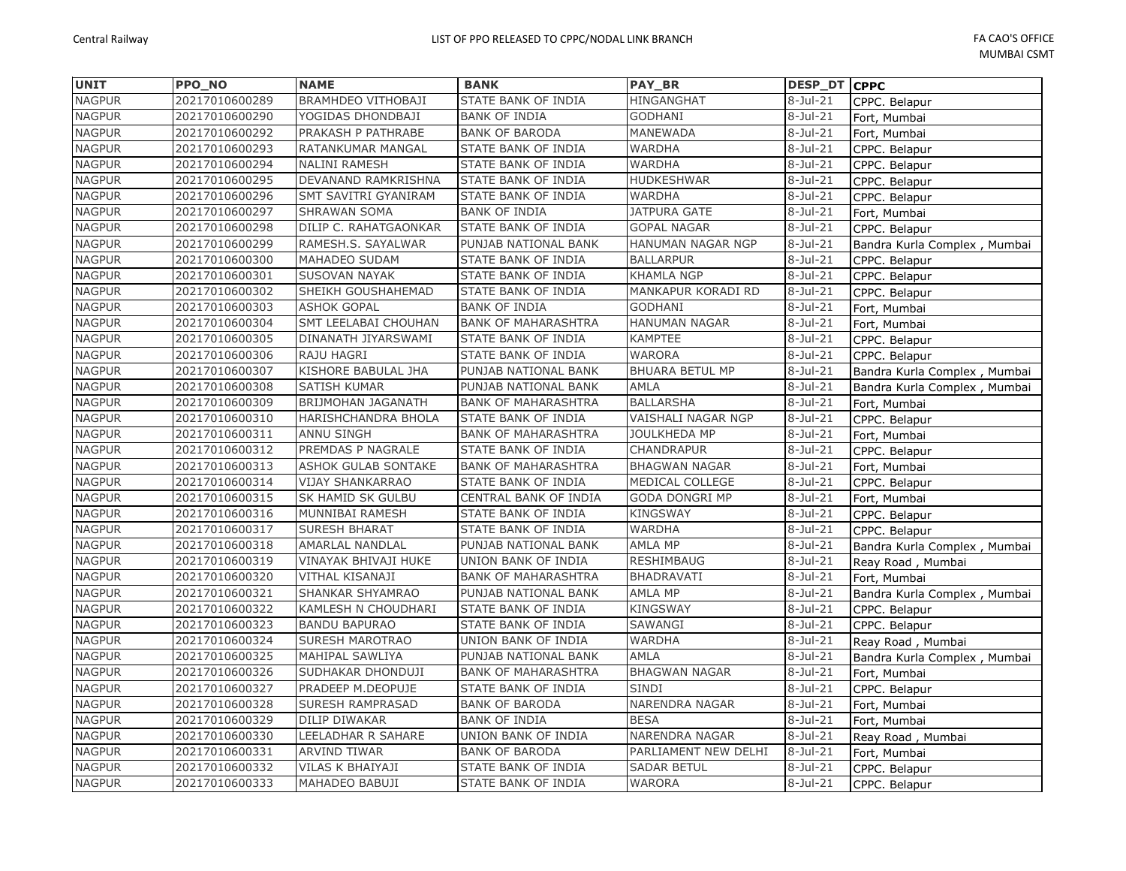| <b>UNIT</b>   | PPO_NO         | <b>NAME</b>                | <b>BANK</b>                | <b>PAY BR</b>          | DESP_DT CPPC |                              |
|---------------|----------------|----------------------------|----------------------------|------------------------|--------------|------------------------------|
| <b>NAGPUR</b> | 20217010600289 | <b>BRAMHDEO VITHOBAJI</b>  | STATE BANK OF INDIA        | HINGANGHAT             | $8-Jul-21$   | CPPC. Belapur                |
| <b>NAGPUR</b> | 20217010600290 | YOGIDAS DHONDBAJI          | <b>BANK OF INDIA</b>       | <b>GODHANI</b>         | $8-Jul-21$   | Fort, Mumbai                 |
| <b>NAGPUR</b> | 20217010600292 | PRAKASH P PATHRABE         | <b>BANK OF BARODA</b>      | MANEWADA               | $8-Jul-21$   | Fort, Mumbai                 |
| <b>NAGPUR</b> | 20217010600293 | RATANKUMAR MANGAL          | STATE BANK OF INDIA        | WARDHA                 | $8-Jul-21$   | CPPC. Belapur                |
| <b>NAGPUR</b> | 20217010600294 | <b>NALINI RAMESH</b>       | STATE BANK OF INDIA        | <b>WARDHA</b>          | $8-Jul-21$   | CPPC. Belapur                |
| <b>NAGPUR</b> | 20217010600295 | DEVANAND RAMKRISHNA        | STATE BANK OF INDIA        | <b>HUDKESHWAR</b>      | $8-Jul-21$   | CPPC. Belapur                |
| <b>NAGPUR</b> | 20217010600296 | SMT SAVITRI GYANIRAM       | STATE BANK OF INDIA        | <b>WARDHA</b>          | $8-Jul-21$   | CPPC. Belapur                |
| <b>NAGPUR</b> | 20217010600297 | SHRAWAN SOMA               | <b>BANK OF INDIA</b>       | <b>JATPURA GATE</b>    | $8-Jul-21$   | Fort, Mumbai                 |
| <b>NAGPUR</b> | 20217010600298 | DILIP C. RAHATGAONKAR      | STATE BANK OF INDIA        | <b>GOPAL NAGAR</b>     | $8-Jul-21$   | CPPC. Belapur                |
| <b>NAGPUR</b> | 20217010600299 | RAMESH.S. SAYALWAR         | PUNJAB NATIONAL BANK       | HANUMAN NAGAR NGP      | $8-Jul-21$   | Bandra Kurla Complex, Mumbai |
| <b>NAGPUR</b> | 20217010600300 | MAHADEO SUDAM              | STATE BANK OF INDIA        | <b>BALLARPUR</b>       | $8-Jul-21$   | CPPC. Belapur                |
| <b>NAGPUR</b> | 20217010600301 | SUSOVAN NAYAK              | STATE BANK OF INDIA        | <b>KHAMLA NGP</b>      | $8$ -Jul-21  | CPPC. Belapur                |
| <b>NAGPUR</b> | 20217010600302 | SHEIKH GOUSHAHEMAD         | STATE BANK OF INDIA        | MANKAPUR KORADI RD     | $8-Jul-21$   | CPPC. Belapur                |
| <b>NAGPUR</b> | 20217010600303 | <b>ASHOK GOPAL</b>         | <b>BANK OF INDIA</b>       | <b>GODHANI</b>         | $8-Jul-21$   | Fort, Mumbai                 |
| <b>NAGPUR</b> | 20217010600304 | SMT LEELABAI CHOUHAN       | <b>BANK OF MAHARASHTRA</b> | <b>HANUMAN NAGAR</b>   | $8$ -Jul-21  | Fort, Mumbai                 |
| <b>NAGPUR</b> | 20217010600305 | DINANATH JIYARSWAMI        | STATE BANK OF INDIA        | <b>KAMPTEE</b>         | $8-Jul-21$   | CPPC. Belapur                |
| <b>NAGPUR</b> | 20217010600306 | RAJU HAGRI                 | STATE BANK OF INDIA        | <b>WARORA</b>          | $8-Jul-21$   | CPPC. Belapur                |
| <b>NAGPUR</b> | 20217010600307 | KISHORE BABULAL JHA        | PUNJAB NATIONAL BANK       | <b>BHUARA BETUL MP</b> | $8$ -Jul-21  | Bandra Kurla Complex, Mumbai |
| <b>NAGPUR</b> | 20217010600308 | <b>SATISH KUMAR</b>        | PUNJAB NATIONAL BANK       | <b>AMLA</b>            | $8-Jul-21$   | Bandra Kurla Complex, Mumbai |
| <b>NAGPUR</b> | 20217010600309 | BRIJMOHAN JAGANATH         | <b>BANK OF MAHARASHTRA</b> | <b>BALLARSHA</b>       | $8-Jul-21$   | Fort, Mumbai                 |
| <b>NAGPUR</b> | 20217010600310 | HARISHCHANDRA BHOLA        | STATE BANK OF INDIA        | VAISHALI NAGAR NGP     | $8$ -Jul-21  | CPPC. Belapur                |
| <b>NAGPUR</b> | 20217010600311 | <b>ANNU SINGH</b>          | <b>BANK OF MAHARASHTRA</b> | <b>JOULKHEDA MP</b>    | $8-Jul-21$   | Fort, Mumbai                 |
| <b>NAGPUR</b> | 20217010600312 | PREMDAS P NAGRALE          | STATE BANK OF INDIA        | CHANDRAPUR             | $8-Jul-21$   | CPPC. Belapur                |
| <b>NAGPUR</b> | 20217010600313 | <b>ASHOK GULAB SONTAKE</b> | <b>BANK OF MAHARASHTRA</b> | <b>BHAGWAN NAGAR</b>   | $8-Jul-21$   | Fort, Mumbai                 |
| <b>NAGPUR</b> | 20217010600314 | VIJAY SHANKARRAO           | STATE BANK OF INDIA        | MEDICAL COLLEGE        | $8-Jul-21$   | CPPC. Belapur                |
| <b>NAGPUR</b> | 20217010600315 | SK HAMID SK GULBU          | CENTRAL BANK OF INDIA      | <b>GODA DONGRI MP</b>  | $8-Jul-21$   | Fort, Mumbai                 |
| <b>NAGPUR</b> | 20217010600316 | MUNNIBAI RAMESH            | STATE BANK OF INDIA        | <b>KINGSWAY</b>        | $8-Jul-21$   | CPPC. Belapur                |
| <b>NAGPUR</b> | 20217010600317 | <b>SURESH BHARAT</b>       | STATE BANK OF INDIA        | <b>WARDHA</b>          | $8-Jul-21$   | CPPC. Belapur                |
| <b>NAGPUR</b> | 20217010600318 | AMARLAL NANDLAL            | PUNJAB NATIONAL BANK       | <b>AMLA MP</b>         | $8-Jul-21$   | Bandra Kurla Complex, Mumbai |
| <b>NAGPUR</b> | 20217010600319 | VINAYAK BHIVAJI HUKE       | UNION BANK OF INDIA        | <b>RESHIMBAUG</b>      | $8-Jul-21$   | Reay Road, Mumbai            |
| <b>NAGPUR</b> | 20217010600320 | VITHAL KISANAJI            | <b>BANK OF MAHARASHTRA</b> | <b>BHADRAVATI</b>      | $8-Jul-21$   | Fort, Mumbai                 |
| <b>NAGPUR</b> | 20217010600321 | SHANKAR SHYAMRAO           | PUNJAB NATIONAL BANK       | <b>AMLA MP</b>         | $8-Jul-21$   | Bandra Kurla Complex, Mumbai |
| <b>NAGPUR</b> | 20217010600322 | KAMLESH N CHOUDHARI        | STATE BANK OF INDIA        | <b>KINGSWAY</b>        | $8-Jul-21$   | CPPC. Belapur                |
| <b>NAGPUR</b> | 20217010600323 | <b>BANDU BAPURAO</b>       | STATE BANK OF INDIA        | SAWANGI                | $8-Jul-21$   | CPPC. Belapur                |
| <b>NAGPUR</b> | 20217010600324 | SURESH MAROTRAO            | UNION BANK OF INDIA        | <b>WARDHA</b>          | $8$ -Jul-21  | Reay Road, Mumbai            |
| <b>NAGPUR</b> | 20217010600325 | MAHIPAL SAWLIYA            | PUNJAB NATIONAL BANK       | AMLA                   | $8-Jul-21$   | Bandra Kurla Complex, Mumbai |
| <b>NAGPUR</b> | 20217010600326 | SUDHAKAR DHONDUJI          | <b>BANK OF MAHARASHTRA</b> | <b>BHAGWAN NAGAR</b>   | $8-Jul-21$   | Fort, Mumbai                 |
| <b>NAGPUR</b> | 20217010600327 | PRADEEP M.DEOPUJE          | STATE BANK OF INDIA        | SINDI                  | $8-Jul-21$   | CPPC. Belapur                |
| <b>NAGPUR</b> | 20217010600328 | SURESH RAMPRASAD           | <b>BANK OF BARODA</b>      | NARENDRA NAGAR         | $8$ -Jul-21  | Fort, Mumbai                 |
| <b>NAGPUR</b> | 20217010600329 | DILIP DIWAKAR              | <b>BANK OF INDIA</b>       | <b>BESA</b>            | $8-Jul-21$   | Fort, Mumbai                 |
| <b>NAGPUR</b> | 20217010600330 | LEELADHAR R SAHARE         | UNION BANK OF INDIA        | <b>NARENDRA NAGAR</b>  | $8-Jul-21$   | Reay Road, Mumbai            |
| <b>NAGPUR</b> | 20217010600331 | <b>ARVIND TIWAR</b>        | <b>BANK OF BARODA</b>      | PARLIAMENT NEW DELHI   | $8-Jul-21$   | Fort, Mumbai                 |
| <b>NAGPUR</b> | 20217010600332 | VILAS K BHAIYAJI           | STATE BANK OF INDIA        | <b>SADAR BETUL</b>     | $8-Jul-21$   | CPPC. Belapur                |
| <b>NAGPUR</b> | 20217010600333 | MAHADEO BABUJI             | STATE BANK OF INDIA        | <b>WARORA</b>          | $8-Jul-21$   | CPPC. Belapur                |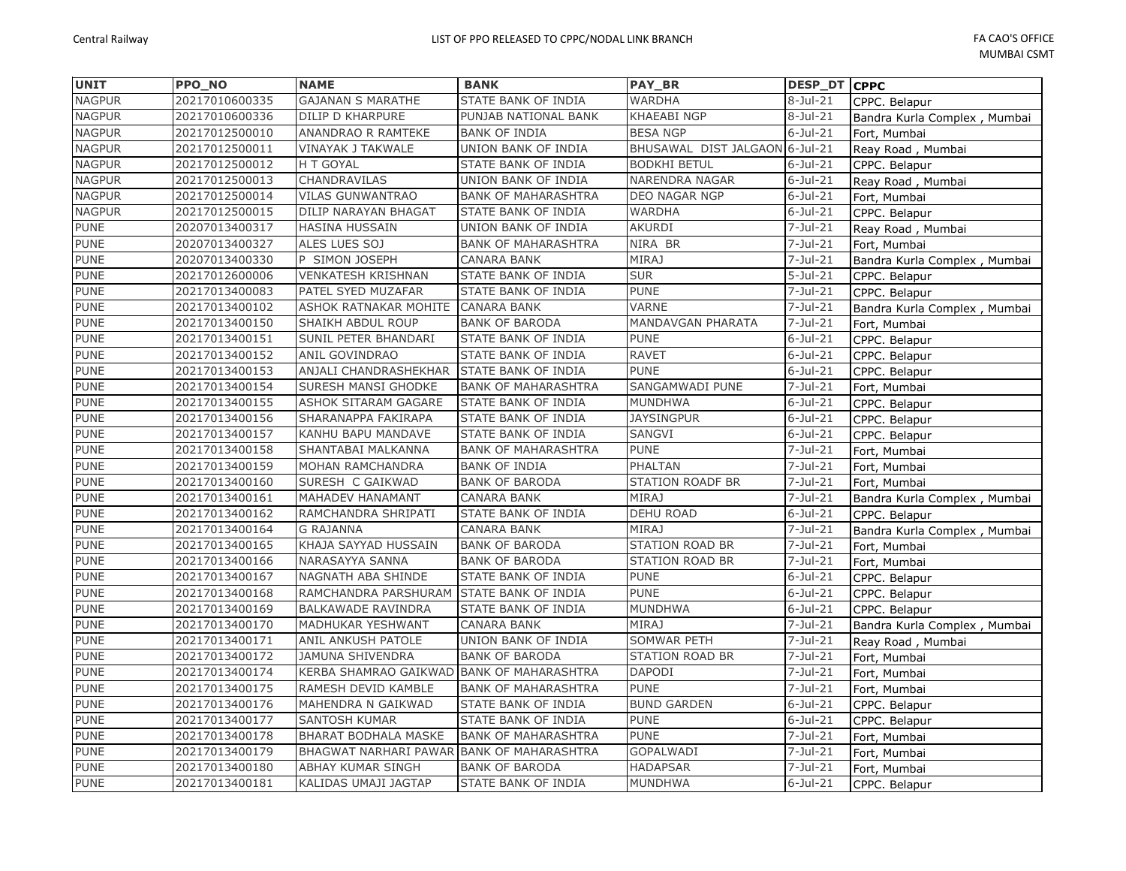| <b>UNIT</b>   | <b>PPO NO</b>  | <b>NAME</b>                               | <b>BANK</b>                | <b>PAY BR</b>                  | DESP_DT CPPC           |                              |
|---------------|----------------|-------------------------------------------|----------------------------|--------------------------------|------------------------|------------------------------|
| <b>NAGPUR</b> | 20217010600335 | <b>GAJANAN S MARATHE</b>                  | STATE BANK OF INDIA        | <b>WARDHA</b>                  | $8-Jul-21$             | CPPC. Belapur                |
| <b>NAGPUR</b> | 20217010600336 | <b>DILIP D KHARPURE</b>                   | PUNJAB NATIONAL BANK       | <b>KHAEABI NGP</b>             | $8-Jul-21$             | Bandra Kurla Complex, Mumbai |
| <b>NAGPUR</b> | 20217012500010 | <b>ANANDRAO R RAMTEKE</b>                 | <b>BANK OF INDIA</b>       | <b>BESA NGP</b>                | $6$ -Jul-21            | Fort, Mumbai                 |
| <b>NAGPUR</b> | 20217012500011 | VINAYAK J TAKWALE                         | UNION BANK OF INDIA        | BHUSAWAL DIST JALGAON 6-Jul-21 |                        | Reay Road, Mumbai            |
| <b>NAGPUR</b> | 20217012500012 | H T GOYAL                                 | STATE BANK OF INDIA        | <b>BODKHI BETUL</b>            | $6$ -Jul-21            | CPPC. Belapur                |
| <b>NAGPUR</b> | 20217012500013 | <b>CHANDRAVILAS</b>                       | UNION BANK OF INDIA        | <b>NARENDRA NAGAR</b>          | $6$ -Jul-21            | Reay Road, Mumbai            |
| <b>NAGPUR</b> | 20217012500014 | <b>VILAS GUNWANTRAO</b>                   | <b>BANK OF MAHARASHTRA</b> | DEO NAGAR NGP                  | $6$ -Jul-21            | Fort, Mumbai                 |
| <b>NAGPUR</b> | 20217012500015 | <b>DILIP NARAYAN BHAGAT</b>               | STATE BANK OF INDIA        | <b>WARDHA</b>                  | $6$ -Jul-21            | CPPC. Belapur                |
| <b>PUNE</b>   | 20207013400317 | <b>HASINA HUSSAIN</b>                     | UNION BANK OF INDIA        | <b>AKURDI</b>                  | $7 -$ Jul $-21$        | Reay Road, Mumbai            |
| <b>PUNE</b>   | 20207013400327 | ALES LUES SOJ                             | <b>BANK OF MAHARASHTRA</b> | NIRA BR                        | $7 -$ Jul $-21$        | Fort, Mumbai                 |
| <b>PUNE</b>   | 20207013400330 | P SIMON JOSEPH                            | <b>CANARA BANK</b>         | <b>MIRAJ</b>                   | $\overline{7}$ -Jul-21 | Bandra Kurla Complex, Mumbai |
| <b>PUNE</b>   | 20217012600006 | <b>VENKATESH KRISHNAN</b>                 | STATE BANK OF INDIA        | <b>SUR</b>                     | $5 -$ Jul $-21$        | CPPC. Belapur                |
| <b>PUNE</b>   | 20217013400083 | PATEL SYED MUZAFAR                        | STATE BANK OF INDIA        | <b>PUNE</b>                    | $7 -$ Jul $-21$        | CPPC. Belapur                |
| <b>PUNE</b>   | 20217013400102 | ASHOK RATNAKAR MOHITE                     | <b>CANARA BANK</b>         | <b>VARNE</b>                   | $7 -$ Jul $-21$        | Bandra Kurla Complex, Mumbai |
| <b>PUNE</b>   | 20217013400150 | SHAIKH ABDUL ROUP                         | <b>BANK OF BARODA</b>      | <b>MANDAVGAN PHARATA</b>       | $7 -$ Jul $-21$        | Fort, Mumbai                 |
| <b>PUNE</b>   | 20217013400151 | SUNIL PETER BHANDARI                      | STATE BANK OF INDIA        | <b>PUNE</b>                    | $6$ -Jul-21            | CPPC. Belapur                |
| <b>PUNE</b>   | 20217013400152 | <b>ANIL GOVINDRAO</b>                     | STATE BANK OF INDIA        | <b>RAVET</b>                   | $6$ -Jul-21            | CPPC. Belapur                |
| <b>PUNE</b>   | 20217013400153 | ANJALI CHANDRASHEKHAR                     | STATE BANK OF INDIA        | <b>PUNE</b>                    | $6$ -Jul-21            | CPPC. Belapur                |
| <b>PUNE</b>   | 20217013400154 | SURESH MANSI GHODKE                       | <b>BANK OF MAHARASHTRA</b> | <b>SANGAMWADI PUNE</b>         | 7-Jul-21               | Fort, Mumbai                 |
| <b>PUNE</b>   | 20217013400155 | <b>ASHOK SITARAM GAGARE</b>               | <b>STATE BANK OF INDIA</b> | <b>MUNDHWA</b>                 | $6$ -Jul-21            | CPPC. Belapur                |
| <b>PUNE</b>   | 20217013400156 | SHARANAPPA FAKIRAPA                       | STATE BANK OF INDIA        | <b>JAYSINGPUR</b>              | $6$ -Jul-21            | CPPC. Belapur                |
| <b>PUNE</b>   | 20217013400157 | KANHU BAPU MANDAVE                        | STATE BANK OF INDIA        | <b>SANGVI</b>                  | $6$ -Jul-21            | CPPC. Belapur                |
| <b>PUNE</b>   | 20217013400158 | SHANTABAI MALKANNA                        | <b>BANK OF MAHARASHTRA</b> | <b>PUNE</b>                    | $7 -$ Jul $-21$        | Fort, Mumbai                 |
| <b>PUNE</b>   | 20217013400159 | MOHAN RAMCHANDRA                          | <b>BANK OF INDIA</b>       | <b>PHALTAN</b>                 | 7-Jul-21               | Fort, Mumbai                 |
| <b>PUNE</b>   | 20217013400160 | SURESH C GAIKWAD                          | <b>BANK OF BARODA</b>      | STATION ROADF BR               | $7-Jul-21$             | Fort, Mumbai                 |
| <b>PUNE</b>   | 20217013400161 | <b>MAHADEV HANAMANT</b>                   | <b>CANARA BANK</b>         | <b>MIRAJ</b>                   | $7-Jul-21$             | Bandra Kurla Complex, Mumbai |
| <b>PUNE</b>   | 20217013400162 | RAMCHANDRA SHRIPATI                       | STATE BANK OF INDIA        | <b>DEHU ROAD</b>               | $6$ -Jul-21            | CPPC. Belapur                |
| <b>PUNE</b>   | 20217013400164 | <b>G RAJANNA</b>                          | <b>CANARA BANK</b>         | <b>MIRAJ</b>                   | $7 -$ Jul-21           | Bandra Kurla Complex, Mumbai |
| <b>PUNE</b>   | 20217013400165 | KHAJA SAYYAD HUSSAIN                      | <b>BANK OF BARODA</b>      | <b>STATION ROAD BR</b>         | 7-Jul-21               | Fort, Mumbai                 |
| <b>PUNE</b>   | 20217013400166 | NARASAYYA SANNA                           | <b>BANK OF BARODA</b>      | <b>STATION ROAD BR</b>         | $7-Jul-21$             | Fort, Mumbai                 |
| <b>PUNE</b>   | 20217013400167 | NAGNATH ABA SHINDE                        | STATE BANK OF INDIA        | <b>PUNE</b>                    | $6$ -Jul-21            | CPPC. Belapur                |
| <b>PUNE</b>   | 20217013400168 | RAMCHANDRA PARSHURAM                      | <b>STATE BANK OF INDIA</b> | <b>PUNE</b>                    | $6$ -Jul-21            | CPPC. Belapur                |
| <b>PUNE</b>   | 20217013400169 | <b>BALKAWADE RAVINDRA</b>                 | STATE BANK OF INDIA        | <b>MUNDHWA</b>                 | $6$ -Jul-21            | CPPC. Belapur                |
| <b>PUNE</b>   | 20217013400170 | MADHUKAR YESHWANT                         | <b>CANARA BANK</b>         | <b>MIRAJ</b>                   | $7-Jul-21$             | Bandra Kurla Complex, Mumbai |
| <b>PUNE</b>   | 20217013400171 | ANIL ANKUSH PATOLE                        | UNION BANK OF INDIA        | SOMWAR PETH                    | $7 -$ Jul $-21$        | Reay Road, Mumbai            |
| <b>PUNE</b>   | 20217013400172 | <b>JAMUNA SHIVENDRA</b>                   | <b>BANK OF BARODA</b>      | STATION ROAD BR                | $7 -$ Jul $-21$        | Fort, Mumbai                 |
| <b>PUNE</b>   | 20217013400174 | KERBA SHAMRAO GAIKWAD BANK OF MAHARASHTRA |                            | <b>DAPODI</b>                  | $7-Jul-21$             | Fort, Mumbai                 |
| <b>PUNE</b>   | 20217013400175 | RAMESH DEVID KAMBLE                       | <b>BANK OF MAHARASHTRA</b> | <b>PUNE</b>                    | $7-Jul-21$             | Fort, Mumbai                 |
| <b>PUNE</b>   | 20217013400176 | MAHENDRA N GAIKWAD                        | STATE BANK OF INDIA        | <b>BUND GARDEN</b>             | $6$ -Jul-21            | CPPC. Belapur                |
| <b>PUNE</b>   | 20217013400177 | <b>SANTOSH KUMAR</b>                      | STATE BANK OF INDIA        | <b>PUNE</b>                    | $6$ -Jul-21            | CPPC. Belapur                |
| <b>PUNE</b>   | 20217013400178 | <b>BHARAT BODHALA MASKE</b>               | <b>BANK OF MAHARASHTRA</b> | <b>PUNE</b>                    | $7 -$ Jul $-21$        | Fort, Mumbai                 |
| <b>PUNE</b>   | 20217013400179 | <b>BHAGWAT NARHARI PAWAR</b>              | <b>BANK OF MAHARASHTRA</b> | GOPALWADI                      | 7-Jul-21               | Fort, Mumbai                 |
| <b>PUNE</b>   | 20217013400180 | <b>ABHAY KUMAR SINGH</b>                  | <b>BANK OF BARODA</b>      | <b>HADAPSAR</b>                | $7-Jul-21$             | Fort, Mumbai                 |
| <b>PUNE</b>   | 20217013400181 | KALIDAS UMAJI JAGTAP                      | <b>STATE BANK OF INDIA</b> | <b>MUNDHWA</b>                 | $6$ -Jul-21            | CPPC. Belapur                |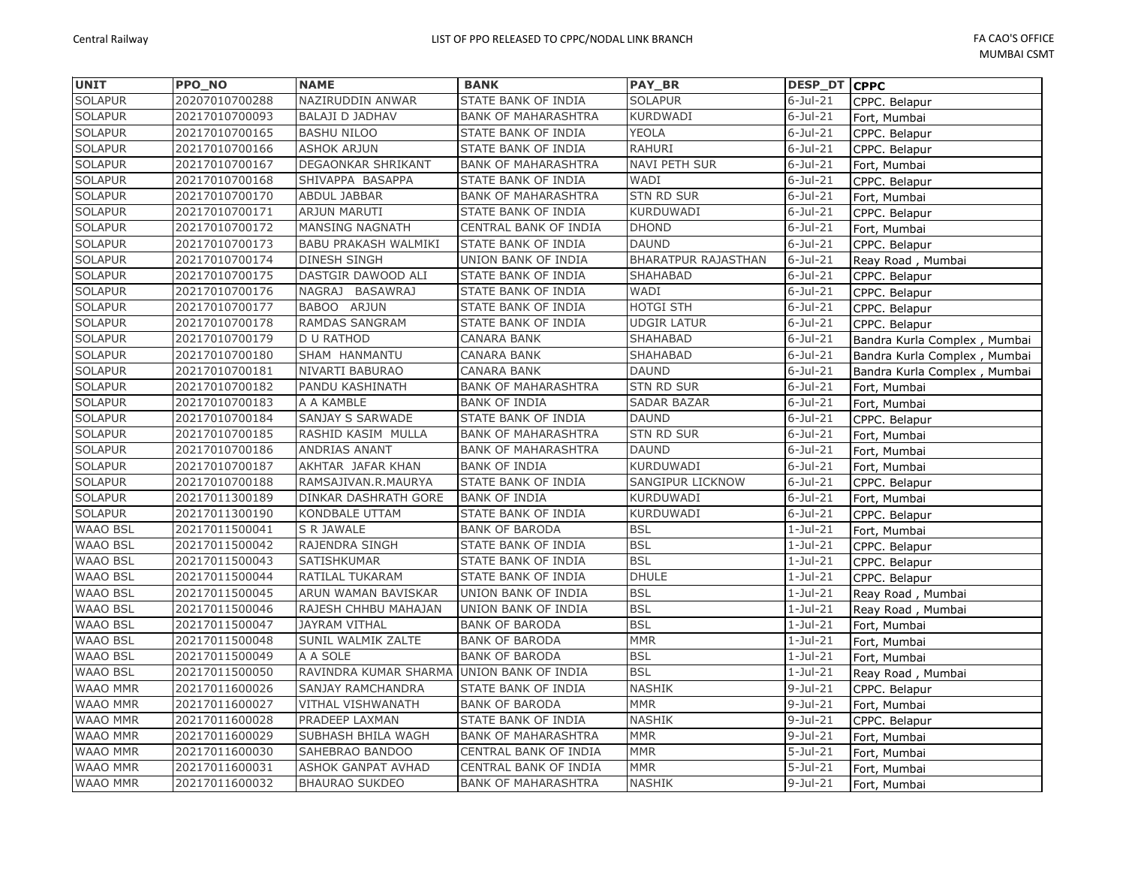| <b>UNIT</b>     | <b>PPO NO</b>  | <b>NAME</b>                 | <b>BANK</b>                | PAY_BR                     | <b>DESP_DT CPPC</b> |                              |
|-----------------|----------------|-----------------------------|----------------------------|----------------------------|---------------------|------------------------------|
| <b>SOLAPUR</b>  | 20207010700288 | NAZIRUDDIN ANWAR            | STATE BANK OF INDIA        | <b>SOLAPUR</b>             | $6$ -Jul-21         | CPPC. Belapur                |
| <b>SOLAPUR</b>  | 20217010700093 | <b>BALAJI D JADHAV</b>      | <b>BANK OF MAHARASHTRA</b> | <b>KURDWADI</b>            | $6$ -Jul-21         | Fort, Mumbai                 |
| <b>SOLAPUR</b>  | 20217010700165 | <b>BASHU NILOO</b>          | STATE BANK OF INDIA        | YEOLA                      | $6$ -Jul-21         | CPPC. Belapur                |
| <b>SOLAPUR</b>  | 20217010700166 | <b>ASHOK ARJUN</b>          | STATE BANK OF INDIA        | <b>RAHURI</b>              | $6$ -Jul-21         | CPPC. Belapur                |
| <b>SOLAPUR</b>  | 20217010700167 | DEGAONKAR SHRIKANT          | <b>BANK OF MAHARASHTRA</b> | <b>NAVI PETH SUR</b>       | $6$ -Jul-21         | Fort, Mumbai                 |
| <b>SOLAPUR</b>  | 20217010700168 | SHIVAPPA BASAPPA            | STATE BANK OF INDIA        | WADI                       | $6$ -Jul-21         | CPPC. Belapur                |
| <b>SOLAPUR</b>  | 20217010700170 | ABDUL JABBAR                | <b>BANK OF MAHARASHTRA</b> | <b>STN RD SUR</b>          | $6$ -Jul-21         | Fort, Mumbai                 |
| <b>SOLAPUR</b>  | 20217010700171 | ARJUN MARUTI                | STATE BANK OF INDIA        | KURDUWADI                  | $6$ -Jul-21         | CPPC. Belapur                |
| <b>SOLAPUR</b>  | 20217010700172 | <b>MANSING NAGNATH</b>      | CENTRAL BANK OF INDIA      | <b>DHOND</b>               | $6$ -Jul-21         | Fort, Mumbai                 |
| <b>SOLAPUR</b>  | 20217010700173 | <b>BABU PRAKASH WALMIKI</b> | STATE BANK OF INDIA        | <b>DAUND</b>               | $6$ -Jul-21         | CPPC. Belapur                |
| <b>SOLAPUR</b>  | 20217010700174 | DINESH SINGH                | UNION BANK OF INDIA        | <b>BHARATPUR RAJASTHAN</b> | $6$ -Jul-21         | Reay Road, Mumbai            |
| <b>SOLAPUR</b>  | 20217010700175 | DASTGIR DAWOOD ALI          | STATE BANK OF INDIA        | SHAHABAD                   | $6$ -Jul-21         | CPPC. Belapur                |
| <b>SOLAPUR</b>  | 20217010700176 | NAGRAJ BASAWRAJ             | STATE BANK OF INDIA        | WADI                       | $6$ -Jul-21         | CPPC. Belapur                |
| <b>SOLAPUR</b>  | 20217010700177 | BABOO ARJUN                 | STATE BANK OF INDIA        | <b>HOTGI STH</b>           | $6$ -Jul-21         | CPPC. Belapur                |
| <b>SOLAPUR</b>  | 20217010700178 | <b>RAMDAS SANGRAM</b>       | STATE BANK OF INDIA        | <b>UDGIR LATUR</b>         | $6$ -Jul-21         | CPPC. Belapur                |
| <b>SOLAPUR</b>  | 20217010700179 | <b>D U RATHOD</b>           | CANARA BANK                | SHAHABAD                   | $6$ -Jul-21         | Bandra Kurla Complex, Mumbai |
| <b>SOLAPUR</b>  | 20217010700180 | SHAM HANMANTU               | CANARA BANK                | SHAHABAD                   | $6$ -Jul-21         | Bandra Kurla Complex, Mumbai |
| <b>SOLAPUR</b>  | 20217010700181 | NIVARTI BABURAO             | CANARA BANK                | <b>DAUND</b>               | $6$ -Jul-21         | Bandra Kurla Complex, Mumbai |
| <b>SOLAPUR</b>  | 20217010700182 | PANDU KASHINATH             | <b>BANK OF MAHARASHTRA</b> | <b>STN RD SUR</b>          | $6$ -Jul-21         | Fort, Mumbai                 |
| <b>SOLAPUR</b>  | 20217010700183 | A A KAMBLE                  | <b>BANK OF INDIA</b>       | <b>SADAR BAZAR</b>         | $6$ -Jul-21         | Fort, Mumbai                 |
| <b>SOLAPUR</b>  | 20217010700184 | SANJAY S SARWADE            | STATE BANK OF INDIA        | <b>DAUND</b>               | $6$ -Jul-21         | CPPC. Belapur                |
| <b>SOLAPUR</b>  | 20217010700185 | RASHID KASIM MULLA          | <b>BANK OF MAHARASHTRA</b> | <b>STN RD SUR</b>          | $6$ -Jul-21         | Fort, Mumbai                 |
| <b>SOLAPUR</b>  | 20217010700186 | ANDRIAS ANANT               | <b>BANK OF MAHARASHTRA</b> | <b>DAUND</b>               | $6$ -Jul-21         | Fort, Mumbai                 |
| <b>SOLAPUR</b>  | 20217010700187 | AKHTAR JAFAR KHAN           | <b>BANK OF INDIA</b>       | KURDUWADI                  | $6$ -Jul-21         | Fort, Mumbai                 |
| <b>SOLAPUR</b>  | 20217010700188 | RAMSAJIVAN.R.MAURYA         | STATE BANK OF INDIA        | SANGIPUR LICKNOW           | $6$ -Jul-21         | CPPC. Belapur                |
| <b>SOLAPUR</b>  | 20217011300189 | DINKAR DASHRATH GORE        | <b>BANK OF INDIA</b>       | KURDUWADI                  | $6$ -Jul-21         | Fort, Mumbai                 |
| <b>SOLAPUR</b>  | 20217011300190 | KONDBALE UTTAM              | STATE BANK OF INDIA        | KURDUWADI                  | $6$ -Jul-21         | CPPC. Belapur                |
| <b>WAAO BSL</b> | 20217011500041 | S R JAWALE                  | <b>BANK OF BARODA</b>      | <b>BSL</b>                 | $1-Jul-21$          | Fort, Mumbai                 |
| <b>WAAO BSL</b> | 20217011500042 | RAJENDRA SINGH              | STATE BANK OF INDIA        | <b>BSL</b>                 | $1-Jul-21$          | CPPC. Belapur                |
| <b>WAAO BSL</b> | 20217011500043 | SATISHKUMAR                 | STATE BANK OF INDIA        | <b>BSL</b>                 | $1-Jul-21$          | CPPC. Belapur                |
| <b>WAAO BSL</b> | 20217011500044 | RATILAL TUKARAM             | STATE BANK OF INDIA        | <b>DHULE</b>               | $1-Jul-21$          | CPPC. Belapur                |
| <b>WAAO BSL</b> | 20217011500045 | ARUN WAMAN BAVISKAR         | UNION BANK OF INDIA        | <b>BSL</b>                 | $1-Jul-21$          | Reay Road, Mumbai            |
| <b>WAAO BSL</b> | 20217011500046 | RAJESH CHHBU MAHAJAN        | UNION BANK OF INDIA        | <b>BSL</b>                 | $1-Jul-21$          | Reay Road, Mumbai            |
| <b>WAAO BSL</b> | 20217011500047 | JAYRAM VITHAL               | <b>BANK OF BARODA</b>      | <b>BSL</b>                 | $1-Jul-21$          | Fort, Mumbai                 |
| <b>WAAO BSL</b> | 20217011500048 | SUNIL WALMIK ZALTE          | <b>BANK OF BARODA</b>      | <b>MMR</b>                 | $1-Jul-21$          | Fort, Mumbai                 |
| <b>WAAO BSL</b> | 20217011500049 | A A SOLE                    | <b>BANK OF BARODA</b>      | <b>BSL</b>                 | $1-Jul-21$          | Fort, Mumbai                 |
| <b>WAAO BSL</b> | 20217011500050 | RAVINDRA KUMAR SHARMA       | UNION BANK OF INDIA        | <b>BSL</b>                 | $1-Jul-21$          | Reay Road, Mumbai            |
| <b>WAAO MMR</b> | 20217011600026 | SANJAY RAMCHANDRA           | STATE BANK OF INDIA        | <b>NASHIK</b>              | $9$ -Jul-21         | CPPC. Belapur                |
| <b>WAAO MMR</b> | 20217011600027 | <b>VITHAL VISHWANATH</b>    | <b>BANK OF BARODA</b>      | <b>MMR</b>                 | $9-Jul-21$          | Fort, Mumbai                 |
| <b>WAAO MMR</b> | 20217011600028 | PRADEEP LAXMAN              | STATE BANK OF INDIA        | <b>NASHIK</b>              | $9-Jul-21$          | CPPC. Belapur                |
| WAAO MMR        | 20217011600029 | SUBHASH BHILA WAGH          | <b>BANK OF MAHARASHTRA</b> | <b>MMR</b>                 | $9-Jul-21$          | Fort, Mumbai                 |
| <b>WAAO MMR</b> | 20217011600030 | SAHEBRAO BANDOO             | CENTRAL BANK OF INDIA      | <b>MMR</b>                 | $5-Jul-21$          | Fort, Mumbai                 |
| <b>WAAO MMR</b> | 20217011600031 | <b>ASHOK GANPAT AVHAD</b>   | CENTRAL BANK OF INDIA      | <b>MMR</b>                 | $5 -$ Jul $-21$     | Fort, Mumbai                 |
| <b>WAAO MMR</b> | 20217011600032 | <b>BHAURAO SUKDEO</b>       | <b>BANK OF MAHARASHTRA</b> | <b>NASHIK</b>              | $9$ -Jul-21         | Fort, Mumbai                 |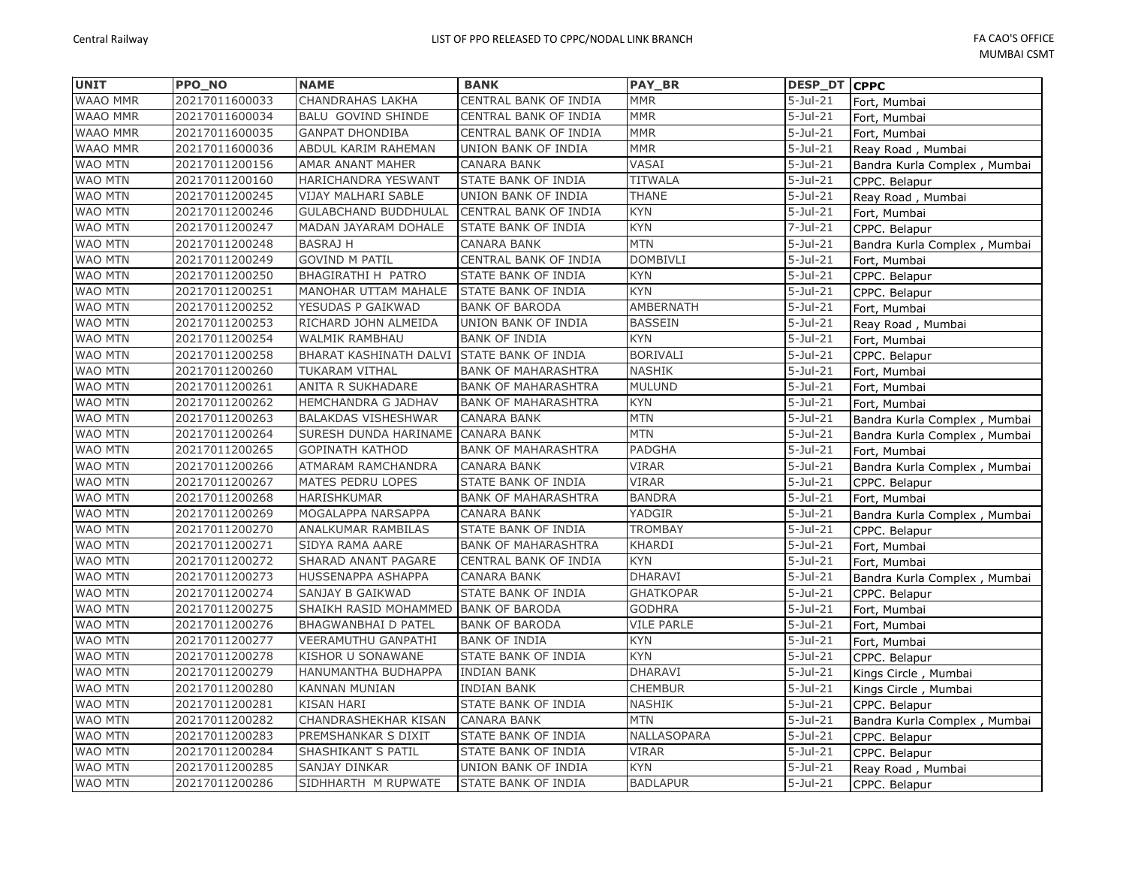| <b>UNIT</b>     | PPO_NO         | <b>NAME</b>                          | <b>BANK</b>                | <b>PAY BR</b>     | DESP_DT CPPC           |                              |
|-----------------|----------------|--------------------------------------|----------------------------|-------------------|------------------------|------------------------------|
| WAAO MMR        | 20217011600033 | CHANDRAHAS LAKHA                     | CENTRAL BANK OF INDIA      | <b>MMR</b>        | $5 -$ Jul $-21$        | Fort, Mumbai                 |
| <b>WAAO MMR</b> | 20217011600034 | <b>BALU GOVIND SHINDE</b>            | CENTRAL BANK OF INDIA      | <b>MMR</b>        | $5-Jul-21$             | Fort, Mumbai                 |
| <b>WAAO MMR</b> | 20217011600035 | <b>GANPAT DHONDIBA</b>               | CENTRAL BANK OF INDIA      | <b>MMR</b>        | $5 -$ Jul $-21$        | Fort, Mumbai                 |
| WAAO MMR        | 20217011600036 | ABDUL KARIM RAHEMAN                  | UNION BANK OF INDIA        | <b>MMR</b>        | $5 -$ Jul $-21$        | Reay Road, Mumbai            |
| WAO MTN         | 20217011200156 | AMAR ANANT MAHER                     | <b>CANARA BANK</b>         | VASAI             | $5 -$ Jul $-21$        | Bandra Kurla Complex, Mumbai |
| <b>WAO MTN</b>  | 20217011200160 | HARICHANDRA YESWANT                  | STATE BANK OF INDIA        | <b>TITWALA</b>    | $5 -$ Jul $-21$        | CPPC. Belapur                |
| WAO MTN         | 20217011200245 | VIJAY MALHARI SABLE                  | UNION BANK OF INDIA        | THANE             | $5-Jul-21$             | Reay Road, Mumbai            |
| <b>WAO MTN</b>  | 20217011200246 | <b>GULABCHAND BUDDHULAL</b>          | CENTRAL BANK OF INDIA      | <b>KYN</b>        | $5 -$ Jul $-21$        | Fort, Mumbai                 |
| <b>WAO MTN</b>  | 20217011200247 | MADAN JAYARAM DOHALE                 | <b>STATE BANK OF INDIA</b> | <b>KYN</b>        | $7 -$ Jul $-21$        | CPPC. Belapur                |
| WAO MTN         | 20217011200248 | <b>BASRAJ H</b>                      | CANARA BANK                | <b>MTN</b>        | $5 -$ Jul $-21$        | Bandra Kurla Complex, Mumbai |
| WAO MTN         | 20217011200249 | <b>GOVIND M PATIL</b>                | CENTRAL BANK OF INDIA      | <b>DOMBIVLI</b>   | $5-Jul-21$             | Fort, Mumbai                 |
| <b>WAO MTN</b>  | 20217011200250 | BHAGIRATHI H PATRO                   | STATE BANK OF INDIA        | KYN               | $5 -$ Jul $-21$        | CPPC. Belapur                |
| <b>WAO MTN</b>  | 20217011200251 | MANOHAR UTTAM MAHALE                 | STATE BANK OF INDIA        | <b>KYN</b>        | $5 -$ Jul $-21$        | CPPC. Belapur                |
| WAO MTN         | 20217011200252 | YESUDAS P GAIKWAD                    | <b>BANK OF BARODA</b>      | AMBERNATH         | $5-Jul-21$             | Fort, Mumbai                 |
| <b>WAO MTN</b>  | 20217011200253 | RICHARD JOHN ALMEIDA                 | UNION BANK OF INDIA        | <b>BASSEIN</b>    | $5-Jul-21$             | Reay Road, Mumbai            |
| <b>WAO MTN</b>  | 20217011200254 | <b>WALMIK RAMBHAU</b>                | <b>BANK OF INDIA</b>       | <b>KYN</b>        | $5 -$ Jul $-21$        | Fort, Mumbai                 |
| <b>WAO MTN</b>  | 20217011200258 | BHARAT KASHINATH DALVI               | <b>STATE BANK OF INDIA</b> | <b>BORIVALI</b>   | $5-Jul-21$             | CPPC. Belapur                |
| WAO MTN         | 20217011200260 | TUKARAM VITHAL                       | <b>BANK OF MAHARASHTRA</b> | NASHIK            | $5-Jul-21$             | Fort, Mumbai                 |
| <b>WAO MTN</b>  | 20217011200261 | ANITA R SUKHADARE                    | <b>BANK OF MAHARASHTRA</b> | MULUND            | $5-Jul-21$             | Fort, Mumbai                 |
| <b>WAO MTN</b>  | 20217011200262 | HEMCHANDRA G JADHAV                  | <b>BANK OF MAHARASHTRA</b> | <b>KYN</b>        | $5-Jul-21$             | Fort, Mumbai                 |
| WAO MTN         | 20217011200263 | <b>BALAKDAS VISHESHWAR</b>           | CANARA BANK                | <b>MTN</b>        | $5 -$ Jul $-21$        | Bandra Kurla Complex, Mumbai |
| <b>WAO MTN</b>  | 20217011200264 | SURESH DUNDA HARINAME                | <b>CANARA BANK</b>         | <b>MTN</b>        | $5 -$ Jul $-21$        | Bandra Kurla Complex, Mumbai |
| <b>WAO MTN</b>  | 20217011200265 | <b>GOPINATH KATHOD</b>               | <b>BANK OF MAHARASHTRA</b> | PADGHA            | $\overline{5}$ -Jul-21 | Fort, Mumbai                 |
| <b>WAO MTN</b>  | 20217011200266 | ATMARAM RAMCHANDRA                   | <b>CANARA BANK</b>         | <b>VIRAR</b>      | $5-Jul-21$             | Bandra Kurla Complex, Mumbai |
| <b>WAO MTN</b>  | 20217011200267 | MATES PEDRU LOPES                    | STATE BANK OF INDIA        | VIRAR             | $5-Jul-21$             | CPPC. Belapur                |
| <b>WAO MTN</b>  | 20217011200268 | HARISHKUMAR                          | <b>BANK OF MAHARASHTRA</b> | <b>BANDRA</b>     | $5$ -Jul-21            | Fort, Mumbai                 |
| WAO MTN         | 20217011200269 | MOGALAPPA NARSAPPA                   | <b>CANARA BANK</b>         | YADGIR            | $5 -$ Jul $-21$        | Bandra Kurla Complex, Mumbai |
| WAO MTN         | 20217011200270 | ANALKUMAR RAMBILAS                   | STATE BANK OF INDIA        | <b>TROMBAY</b>    | $5 -$ Jul $-21$        | CPPC. Belapur                |
| <b>WAO MTN</b>  | 20217011200271 | SIDYA RAMA AARE                      | <b>BANK OF MAHARASHTRA</b> | KHARDI            | $5-Jul-21$             | Fort, Mumbai                 |
| <b>WAO MTN</b>  | 20217011200272 | SHARAD ANANT PAGARE                  | CENTRAL BANK OF INDIA      | KYN               | $5 -$ Jul $-21$        | Fort, Mumbai                 |
| <b>WAO MTN</b>  | 20217011200273 | HUSSENAPPA ASHAPPA                   | <b>CANARA BANK</b>         | <b>DHARAVI</b>    | $5 -$ Jul $-21$        | Bandra Kurla Complex, Mumbai |
| <b>WAO MTN</b>  | 20217011200274 | SANJAY B GAIKWAD                     | STATE BANK OF INDIA        | <b>GHATKOPAR</b>  | $5-Jul-21$             | CPPC. Belapur                |
| WAO MTN         | 20217011200275 | SHAIKH RASID MOHAMMED BANK OF BARODA |                            | <b>GODHRA</b>     | $5-Jul-21$             | Fort, Mumbai                 |
| WAO MTN         | 20217011200276 | <b>BHAGWANBHAI D PATEL</b>           | <b>BANK OF BARODA</b>      | <b>VILE PARLE</b> | $5 -$ Jul $-21$        | Fort, Mumbai                 |
| WAO MTN         | 20217011200277 | VEERAMUTHU GANPATHI                  | <b>BANK OF INDIA</b>       | <b>KYN</b>        | $5 -$ Jul $-21$        | Fort, Mumbai                 |
| WAO MTN         | 20217011200278 | KISHOR U SONAWANE                    | STATE BANK OF INDIA        | <b>KYN</b>        | $\overline{5}$ -Jul-21 | CPPC. Belapur                |
| <b>WAO MTN</b>  | 20217011200279 | HANUMANTHA BUDHAPPA                  | <b>INDIAN BANK</b>         | DHARAVI           | $5-Jul-21$             | Kings Circle, Mumbai         |
| <b>WAO MTN</b>  | 20217011200280 | <b>KANNAN MUNIAN</b>                 | <b>INDIAN BANK</b>         | <b>CHEMBUR</b>    | $5 -$ Jul $-21$        | Kings Circle, Mumbai         |
| WAO MTN         | 20217011200281 | <b>KISAN HARI</b>                    | STATE BANK OF INDIA        | <b>NASHIK</b>     | $5$ -Jul-21            | CPPC. Belapur                |
| WAO MTN         | 20217011200282 | CHANDRASHEKHAR KISAN                 | <b>CANARA BANK</b>         | <b>MTN</b>        | $5 -$ Jul $-21$        | Bandra Kurla Complex, Mumbai |
| <b>WAO MTN</b>  | 20217011200283 | PREMSHANKAR S DIXIT                  | STATE BANK OF INDIA        | NALLASOPARA       | $5-Jul-21$             | CPPC. Belapur                |
| WAO MTN         | 20217011200284 | SHASHIKANT S PATIL                   | STATE BANK OF INDIA        | <b>VIRAR</b>      | $5-Jul-21$             | CPPC. Belapur                |
| <b>WAO MTN</b>  | 20217011200285 | SANJAY DINKAR                        | UNION BANK OF INDIA        | <b>KYN</b>        | $5-Jul-21$             | Reay Road, Mumbai            |
| <b>WAO MTN</b>  | 20217011200286 | SIDHHARTH M RUPWATE                  | <b>STATE BANK OF INDIA</b> | <b>BADLAPUR</b>   | $5 -$ Jul $-21$        | CPPC. Belapur                |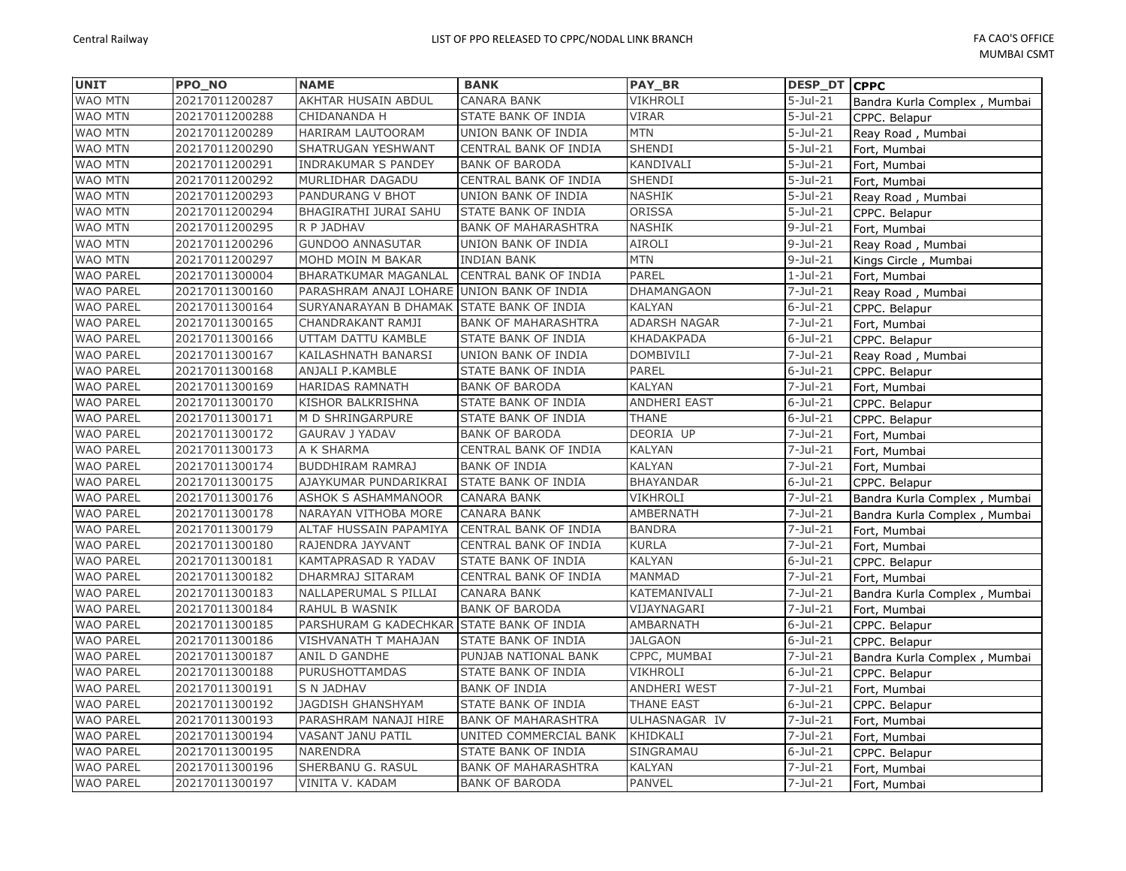| <b>UNIT</b>      | PPO_NO         | <b>NAME</b>                                | <b>BANK</b>                | PAY_BR           | <b>DESP_DT</b>         | <b>CPPC</b>                  |
|------------------|----------------|--------------------------------------------|----------------------------|------------------|------------------------|------------------------------|
| <b>WAO MTN</b>   | 20217011200287 | AKHTAR HUSAIN ABDUL                        | CANARA BANK                | VIKHROLI         | $5-Jul-21$             | Bandra Kurla Complex, Mumbai |
| <b>WAO MTN</b>   | 20217011200288 | CHIDANANDA H                               | STATE BANK OF INDIA        | <b>VIRAR</b>     | $5-Jul-21$             | CPPC. Belapur                |
| <b>WAO MTN</b>   | 20217011200289 | HARIRAM LAUTOORAM                          | UNION BANK OF INDIA        | <b>MTN</b>       | $5 -$ Jul $-21$        | Reay Road, Mumbai            |
| WAO MTN          | 20217011200290 | SHATRUGAN YESHWANT                         | CENTRAL BANK OF INDIA      | SHENDI           | $5 -$ Jul $-21$        | Fort, Mumbai                 |
| WAO MTN          | 20217011200291 | INDRAKUMAR S PANDEY                        | <b>BANK OF BARODA</b>      | KANDIVALI        | $5 -$ Jul $-21$        | Fort, Mumbai                 |
| WAO MTN          | 20217011200292 | MURLIDHAR DAGADU                           | CENTRAL BANK OF INDIA      | <b>SHENDI</b>    | $5 -$ Jul $-21$        | Fort, Mumbai                 |
| WAO MTN          | 20217011200293 | PANDURANG V BHOT                           | UNION BANK OF INDIA        | NASHIK           | $5 -$ Jul-21           | Reay Road, Mumbai            |
| WAO MTN          | 20217011200294 | BHAGIRATHI JURAI SAHU                      | STATE BANK OF INDIA        | ORISSA           | $5 -$ Jul $-21$        | CPPC. Belapur                |
| <b>WAO MTN</b>   | 20217011200295 | R P JADHAV                                 | <b>BANK OF MAHARASHTRA</b> | NASHIK           | $9$ -Jul-21            | Fort, Mumbai                 |
| <b>WAO MTN</b>   | 20217011200296 | <b>GUNDOO ANNASUTAR</b>                    | UNION BANK OF INDIA        | AIROLI           | $9-Jul-21$             | Reay Road, Mumbai            |
| WAO MTN          | 20217011200297 | MOHD MOIN M BAKAR                          | <b>INDIAN BANK</b>         | <b>MTN</b>       | $9-Jul-21$             | Kings Circle, Mumbai         |
| <b>WAO PAREL</b> | 20217011300004 | <b>BHARATKUMAR MAGANLAL</b>                | CENTRAL BANK OF INDIA      | PAREL            | $1-Jul-21$             | Fort, Mumbai                 |
| <b>WAO PAREL</b> | 20217011300160 | PARASHRAM ANAJI LOHARE UNION BANK OF INDIA |                            | DHAMANGAON       | $7 -$ Jul $-21$        | Reay Road, Mumbai            |
| <b>WAO PAREL</b> | 20217011300164 | SURYANARAYAN B DHAMAK STATE BANK OF INDIA  |                            | KALYAN           | $6$ -Jul-21            | CPPC. Belapur                |
| <b>WAO PAREL</b> | 20217011300165 | CHANDRAKANT RAMJI                          | <b>BANK OF MAHARASHTRA</b> | ADARSH NAGAR     | $7 -$ Jul $-21$        | Fort, Mumbai                 |
| <b>WAO PAREL</b> | 20217011300166 | UTTAM DATTU KAMBLE                         | STATE BANK OF INDIA        | KHADAKPADA       | $6$ -Jul-21            | CPPC. Belapur                |
| <b>WAO PAREL</b> | 20217011300167 | KAILASHNATH BANARSI                        | UNION BANK OF INDIA        | DOMBIVILI        | $\overline{7}$ -Jul-21 | Reay Road, Mumbai            |
| <b>WAO PAREL</b> | 20217011300168 | ANJALI P.KAMBLE                            | STATE BANK OF INDIA        | PAREL            | $6$ -Jul-21            | CPPC. Belapur                |
| <b>WAO PAREL</b> | 20217011300169 | <b>HARIDAS RAMNATH</b>                     | <b>BANK OF BARODA</b>      | KALYAN           | $7 -$ Jul $-21$        | Fort, Mumbai                 |
| <b>WAO PAREL</b> | 20217011300170 | KISHOR BALKRISHNA                          | STATE BANK OF INDIA        | ANDHERI EAST     | $6$ -Jul-21            | CPPC. Belapur                |
| <b>WAO PAREL</b> | 20217011300171 | M D SHRINGARPURE                           | STATE BANK OF INDIA        | <b>THANE</b>     | $6$ -Jul-21            | CPPC. Belapur                |
| <b>WAO PAREL</b> | 20217011300172 | <b>GAURAV J YADAV</b>                      | <b>BANK OF BARODA</b>      | DEORIA UP        | $7 -$ Jul $-21$        | Fort, Mumbai                 |
| <b>WAO PAREL</b> | 20217011300173 | A K SHARMA                                 | CENTRAL BANK OF INDIA      | KALYAN           | $7 -$ Jul $-21$        | Fort, Mumbai                 |
| <b>WAO PAREL</b> | 20217011300174 | <b>BUDDHIRAM RAMRAJ</b>                    | <b>BANK OF INDIA</b>       | KALYAN           | $7 -$ Jul $-21$        | Fort, Mumbai                 |
| <b>WAO PAREL</b> | 20217011300175 | AJAYKUMAR PUNDARIKRAI                      | STATE BANK OF INDIA        | <b>BHAYANDAR</b> | $6$ -Jul-21            | CPPC. Belapur                |
| <b>WAO PAREL</b> | 20217011300176 | <b>ASHOK S ASHAMMANOOR</b>                 | <b>CANARA BANK</b>         | VIKHROLI         | $7 -$ Jul $-21$        | Bandra Kurla Complex, Mumbai |
| <b>WAO PAREL</b> | 20217011300178 | NARAYAN VITHOBA MORE                       | <b>CANARA BANK</b>         | AMBERNATH        | $7 -$ Jul $-21$        | Bandra Kurla Complex, Mumbai |
| <b>WAO PAREL</b> | 20217011300179 | ALTAF HUSSAIN PAPAMIYA                     | CENTRAL BANK OF INDIA      | <b>BANDRA</b>    | $7 -$ Jul $-21$        | Fort, Mumbai                 |
| <b>WAO PAREL</b> | 20217011300180 | RAJENDRA JAYVANT                           | CENTRAL BANK OF INDIA      | KURLA            | $7 -$ Jul $-21$        | Fort, Mumbai                 |
| <b>WAO PAREL</b> | 20217011300181 | <b>KAMTAPRASAD R YADAV</b>                 | STATE BANK OF INDIA        | KALYAN           | $6$ -Jul-21            | CPPC. Belapur                |
| <b>WAO PAREL</b> | 20217011300182 | DHARMRAJ SITARAM                           | CENTRAL BANK OF INDIA      | MANMAD           | $7 -$ Jul $-21$        | Fort, Mumbai                 |
| <b>WAO PAREL</b> | 20217011300183 | NALLAPERUMAL S PILLAI                      | <b>CANARA BANK</b>         | KATEMANIVALI     | $7 -$ Jul $-21$        | Bandra Kurla Complex, Mumbai |
| <b>WAO PAREL</b> | 20217011300184 | RAHUL B WASNIK                             | <b>BANK OF BARODA</b>      | VIJAYNAGARI      | $7 -$ Jul $-21$        | Fort, Mumbai                 |
| <b>WAO PAREL</b> | 20217011300185 | PARSHURAM G KADECHKAR STATE BANK OF INDIA  |                            | AMBARNATH        | $6$ -Jul-21            | CPPC. Belapur                |
| <b>WAO PAREL</b> | 20217011300186 | VISHVANATH T MAHAJAN                       | STATE BANK OF INDIA        | <b>JALGAON</b>   | $6$ -Jul-21            | CPPC. Belapur                |
| <b>WAO PAREL</b> | 20217011300187 | ANIL D GANDHE                              | PUNJAB NATIONAL BANK       | CPPC, MUMBAI     | $7-Jul-21$             | Bandra Kurla Complex, Mumbai |
| <b>WAO PAREL</b> | 20217011300188 | PURUSHOTTAMDAS                             | STATE BANK OF INDIA        | VIKHROLI         | $6$ -Jul-21            | CPPC. Belapur                |
| <b>WAO PAREL</b> | 20217011300191 | <b>S N JADHAV</b>                          | <b>BANK OF INDIA</b>       | ANDHERI WEST     | $7 -$ Jul $-21$        | Fort, Mumbai                 |
| <b>WAO PAREL</b> | 20217011300192 | <b>JAGDISH GHANSHYAM</b>                   | STATE BANK OF INDIA        | THANE EAST       | $6$ -Jul-21            | CPPC. Belapur                |
| <b>WAO PAREL</b> | 20217011300193 | PARASHRAM NANAJI HIRE                      | <b>BANK OF MAHARASHTRA</b> | ULHASNAGAR IV    | $7 -$ Jul $-21$        | Fort, Mumbai                 |
| <b>WAO PAREL</b> | 20217011300194 | VASANT JANU PATIL                          | UNITED COMMERCIAL BANK     | KHIDKALI         | $7 -$ Jul $-21$        | Fort, Mumbai                 |
| <b>WAO PAREL</b> | 20217011300195 | <b>NARENDRA</b>                            | STATE BANK OF INDIA        | SINGRAMAU        | $6$ -Jul-21            | CPPC. Belapur                |
| <b>WAO PAREL</b> | 20217011300196 | SHERBANU G. RASUL                          | <b>BANK OF MAHARASHTRA</b> | KALYAN           | $7 -$ Jul $-21$        | Fort, Mumbai                 |
| <b>WAO PAREL</b> | 20217011300197 | VINITA V. KADAM                            | <b>BANK OF BARODA</b>      | <b>PANVEL</b>    | 7-Jul-21               | Fort, Mumbai                 |